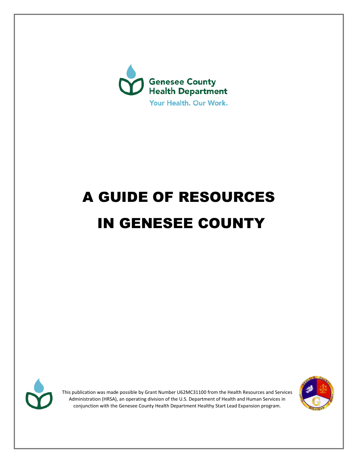

# A GUIDE OF RESOURCES IN GENESEE COUNTY



This publication was made possible by Grant Number U62MC31100 from the Health Resources and Services Administration (HRSA), an operating division of the U.S. Department of Health and Human Services in conjunction with the Genesee County Health Department Healthy Start Lead Expansion program.

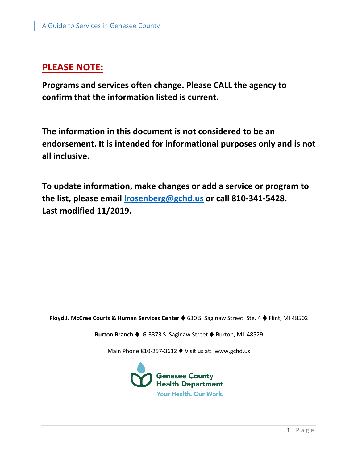### **PLEASE NOTE:**

**Programs and services often change. Please CALL the agency to confirm that the information listed is current.** 

**The information in this document is not considered to be an endorsement. It is intended for informational purposes only and is not all inclusive.** 

**To update information, make changes or add a service or program to the list, please email [lrosenberg@gchd.us](mailto:lrosenberg@gchd.us) or call 810-341-5428. Last modified 11/2019.**

Floyd J. McCree Courts & Human Services Center ♦ 630 S. Saginaw Street, Ste. 4 ♦ Flint, MI 48502

**Burton Branch ♦ G-3373 S. Saginaw Street ♦ Burton, MI 48529** 

Main Phone 810-257-3612 ♦ Visit us at: www.gchd.us

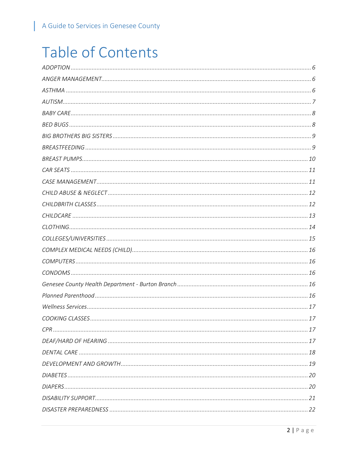L

# **Table of Contents**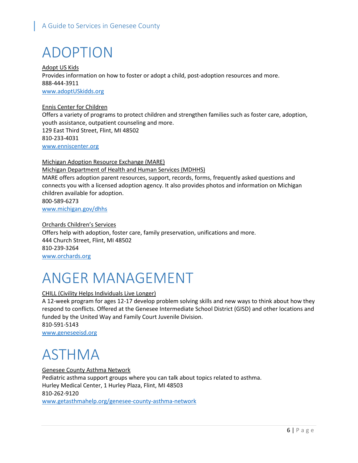# <span id="page-6-0"></span>ADOPTION

Adopt US Kids Provides information on how to foster or adopt a child, post-adoption resources and more. 888-444-3911 www.adoptUSkidds.org

Ennis Center for Children Offers a variety of programs to protect children and strengthen families such as foster care, adoption, youth assistance, outpatient counseling and more. 129 East Third Street, Flint, MI 48502 810-233-4031 [www.enniscenter.org](http://www.enniscenter.org/)

Michigan Adoption Resource Exchange (MARE) Michigan Department of Health and Human Services (MDHHS) MARE offers adoption parent resources, support, records, forms, frequently asked questions and connects you with a licensed adoption agency. It also provides photos and information on Michigan children available for adoption. 800-589-6273 [www.michigan.gov/dhhs](http://www.michigan.gov/dhhs)

Orchards Children's Services Offers help with adoption, foster care, family preservation, unifications and more. 444 Church Street, Flint, MI 48502 810-239-3264 [www.orchards.org](http://www.orchards.org/)

# <span id="page-6-1"></span>ANGER MANAGEMENT

#### CHILL (Civility Helps Individuals Live Longer)

A 12-week program for ages 12-17 develop problem solving skills and new ways to think about how they respond to conflicts. Offered at the Genesee Intermediate School District (GISD) and other locations and funded by the United Way and Family Court Juvenile Division. 810-591-5143 [www.geneseeisd.org](http://www.geneseeisd.org/)

### <span id="page-6-2"></span>ASTHMA

Genesee County Asthma Network Pediatric asthma support groups where you can talk about topics related to asthma. Hurley Medical Center, 1 Hurley Plaza, Flint, MI 48503 810-262-9120 [www.getasthmahelp.org/genesee-county-asthma-network](http://www.getasthmahelp.org/genesee-county-asthma-network)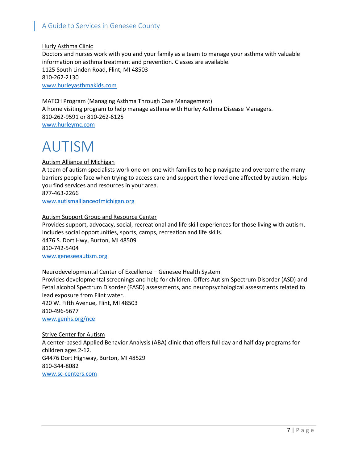#### Hurly Asthma Clinic

Doctors and nurses work with you and your family as a team to manage your asthma with valuable information on asthma treatment and prevention. Classes are available. 1125 South Linden Road, Flint, MI 48503 810-262-2130 [www.hurleyasthmakids.com](http://www.hurleyasthmakids.com/)

#### MATCH Program (Managing Asthma Through Case Management)

A home visiting program to help manage asthma with Hurley Asthma Disease Managers. 810-262-9591 or 810-262-6125 [www.hurleymc.com](http://www.hurleymc.com/)

### <span id="page-7-0"></span>AUTISM

#### Autism Alliance of Michigan

A team of autism specialists work one-on-one with families to help navigate and overcome the many barriers people face when trying to access care and support their loved one affected by autism. Helps you find services and resources in your area. 877-463-2266

[www.autismallianceofmichigan.org](http://www.autismallianceofmichigan.org/)

#### Autism Support Group and Resource Center

Provides support, advocacy, social, recreational and life skill experiences for those living with autism. Includes social opportunities, sports, camps, recreation and life skills. 4476 S. Dort Hwy, Burton, MI 48509 810-742-5404 [www.geneseeautism.org](http://www.geneseeautism.org/)

#### Neurodevelopmental Center of Excellence – Genesee Health System

Provides developmental screenings and help for children. Offers Autism Spectrum Disorder (ASD) and Fetal alcohol Spectrum Disorder (FASD) assessments, and neuropsychological assessments related to lead exposure from Flint water. 420 W. Fifth Avenue, Flint, MI 48503 810-496-5677

www.genhs.org/nce

#### Strive Center for Autism

<span id="page-7-1"></span>A center-based Applied Behavior Analysis (ABA) clinic that offers full day and half day programs for children ages 2-12. G4476 Dort Highway, Burton, MI 48529 810-344-8082 [www.sc-centers.com](http://www.sc-centers.com/)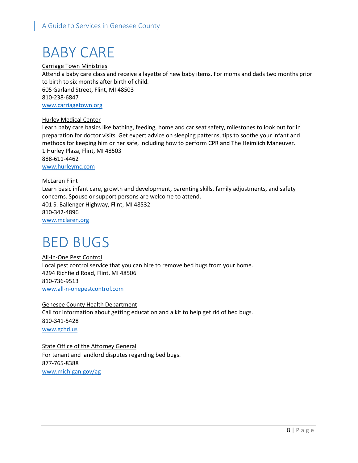# BABY CARE

Carriage Town Ministries

Attend a baby care class and receive a layette of new baby items. For moms and dads two months prior to birth to six months after birth of child.

605 Garland Street, Flint, MI 48503 810-238-6847 [www.carriagetown.org](http://www.carriagetown.org/)

#### Hurley Medical Center

Learn baby care basics like bathing, feeding, home and car seat safety, milestones to look out for in preparation for doctor visits. Get expert advice on sleeping patterns, tips to soothe your infant and methods for keeping him or her safe, including how to perform CPR and The Heimlich Maneuver. 1 Hurley Plaza, Flint, MI 48503 888-611-4462

[www.hurleymc.com](http://www.hurleymc.com/)

#### McLaren Flint

Learn basic infant care, growth and development, parenting skills, family adjustments, and safety concerns. Spouse or support persons are welcome to attend. 401 S. Ballenger Highway, Flint, MI 48532 810-342-4896 [www.mclaren.org](http://www.mclaren.org/)

### <span id="page-8-0"></span>BED BUGS

All-In-One Pest Control Local pest control service that you can hire to remove bed bugs from your home. 4294 Richfield Road, Flint, MI 48506 810-736-9513 [www.all-n-onepestcontrol.com](http://www.all-n-onepestcontrol.com/)

Genesee County Health Department Call for information about getting education and a kit to help get rid of bed bugs. 810-341-5428 [www.gchd.us](http://www.gchd.us/)

<span id="page-8-1"></span>**State Office of the Attorney General** For tenant and landlord disputes regarding bed bugs. 877-765-8388 [www.michigan.gov/ag](http://www.michigan.gov/ag)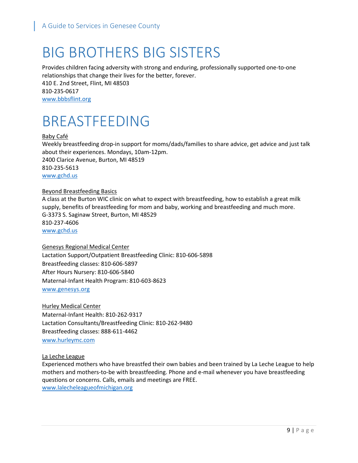### BIG BROTHERS BIG SISTERS

Provides children facing adversity with strong and enduring, professionally supported one-to-one relationships that change their lives for the better, forever. 410 E. 2nd Street, Flint, MI 48503 810-235-0617 [www.bbbsflint.org](http://www.bbbsflint.org/)

### <span id="page-9-0"></span>BREASTFEEDING

Baby Café Weekly breastfeeding drop-in support for moms/dads/families to share advice, get advice and just talk about their experiences. Mondays, 10am-12pm. 2400 Clarice Avenue, Burton, MI 48519 810-235-5613 [www.gchd.us](http://www.gchd.us/)

#### Beyond Breastfeeding Basics

A class at the Burton WIC clinic on what to expect with breastfeeding, how to establish a great milk supply, benefits of breastfeeding for mom and baby, working and breastfeeding and much more. G-3373 S. Saginaw Street, Burton, MI 48529 810-237-4606 [www.gchd.us](http://www.gchd.us/)

#### Genesys Regional Medical Center

Lactation Support/Outpatient Breastfeeding Clinic: 810-606-5898 Breastfeeding classes: 810-606-5897 After Hours Nursery: 810-606-5840 Maternal-Infant Health Program: 810-603-8623 [www.genesys.org](http://www.genesys.org/)

Hurley Medical Center Maternal-Infant Health: 810-262-9317 Lactation Consultants/Breastfeeding Clinic: 810-262-9480 Breastfeeding classes: 888-611-4462 [www.hurleymc.com](http://www.hurleymc.com/)

#### La Leche League

Experienced mothers who have breastfed their own babies and been trained by La Leche League to help mothers and mothers-to-be with breastfeeding. Phone and e-mail whenever you have breastfeeding questions or concerns. Calls, emails and meetings are FREE. [www.lalecheleagueofmichigan.org](http://www.lalecheleagueofmichigan.org/)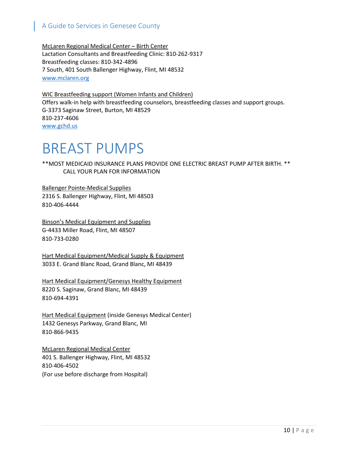McLaren Regional Medical Center – Birth Center Lactation Consultants and Breastfeeding Clinic: 810-262-9317 Breastfeeding classes: 810-342-4896 7 South, 401 South Ballenger Highway, Flint, MI 48532 [www.mclaren.org](http://www.mclaren.org/)

WIC Breastfeeding support (Women Infants and Children) Offers walk-in help with breastfeeding counselors, breastfeeding classes and support groups. G-3373 Saginaw Street, Burton, MI 48529 810-237-4606 [www.gchd.us](http://www.gchd.us/)

### <span id="page-10-0"></span>BREAST PUMPS

\*\*MOST MEDICAID INSURANCE PLANS PROVIDE ONE ELECTRIC BREAST PUMP AFTER BIRTH. \*\* CALL YOUR PLAN FOR INFORMATION

Ballenger Pointe-Medical Supplies 2316 S. Ballenger Highway, Flint, MI 48503 810-406-4444

Binson's Medical Equipment and Supplies G-4433 Miller Road, Flint, MI 48507 810-733-0280

Hart Medical Equipment/Medical Supply & Equipment 3033 E. Grand Blanc Road, Grand Blanc, MI 48439

Hart Medical Equipment/Genesys Healthy Equipment 8220 S. Saginaw, Grand Blanc, MI 48439 810-694-4391

Hart Medical Equipment (inside Genesys Medical Center) 1432 Genesys Parkway, Grand Blanc, MI 810-866-9435

<span id="page-10-1"></span>McLaren Regional Medical Center 401 S. Ballenger Highway, Flint, MI 48532 810-406-4502 (For use before discharge from Hospital)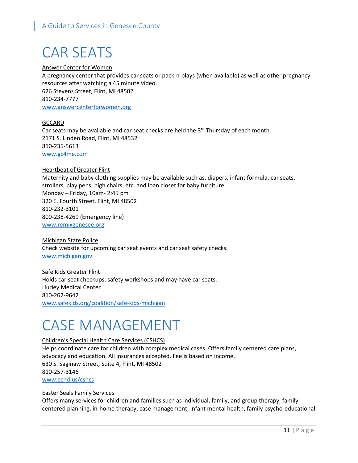# CAR SEATS

#### Answer Center for Women

A pregnancy center that provides car seats or pack-n-plays (when available) as well as other pregnancy resources after watching a 45 minute video. 626 Stevens Street, Flint, MI 48502 810-234-7777 [www.answercenterforwomen.org](http://www.answercenterforwomen.org/)

#### **GCCARD**

Car seats may be available and car seat checks are held the  $3<sup>rd</sup>$  Thursday of each month. 2171 S. Linden Road, Flint, MI 48532 810-235-5613 [www.gc4me.com](http://www.gc4me.com/)

#### **Heartbeat of Greater Flint**

Maternity and baby clothing supplies may be available such as, diapers, infant formula, car seats, strollers, play pens, high chairs, etc. and loan closet for baby furniture. Monday – Friday, 10am- 2:45 pm 320 E. Fourth Street, Flint, MI 48502 810-232-3101 800-238-4269 (Emergency line) www.remixgenesee.org

Michigan State Police Check website for upcoming car seat events and car seat safety checks. [www.michigan.gov](http://www.michigan.gov/)

Safe Kids Greater Flint Holds car seat checkups, safety workshops and may have car seats. Hurley Medical Center 810-262-9642 [www.safekids.org/coalition/safe-kids-michigan](http://www.safekids.org/coalition/safe-kids-michigan)

## <span id="page-11-0"></span>CASE MANAGEMENT

#### Children's Special Health Care Services (CSHCS)

Helps coordinate care for children with complex medical cases. Offers family centered care plans, advocacy and education. All insurances accepted. Fee is based on income. 630 S. Saginaw Street, Suite 4, Flint, MI 48502 810-257-3146 [www.gchd.us/cshcs](http://www.gchd.us/cshcs)

#### Easter Seals Family Services

Offers many services for children and families such as individual, family, and group therapy, family centered planning, in-home therapy, case management, infant mental health, family psycho-educational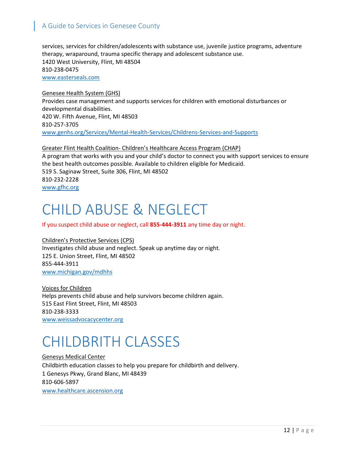services, services for children/adolescents with substance use, juvenile justice programs, adventure therapy, wraparound, trauma specific therapy and adolescent substance use. 1420 West University, Flint, MI 48504 810-238-0475 [www.easterseals.com](http://www.easterseals.com/)

Genesee Health System (GHS) Provides case management and supports services for children with emotional disturbances or developmental disabilities. 420 W. Fifth Avenue, Flint, MI 48503 810-257-3705 [www.genhs.org/Services/Mental-Health-Services/Childrens-Services-and-Supports](http://www.genhs.org/Services/Mental-Health-Services/Childrens-Services-and-Supports)

Greater Flint Health Coalition- Children's Healthcare Access Program (CHAP) A program that works with you and your child's doctor to connect you with support services to ensure the best health outcomes possible. Available to children eligible for Medicaid. 519 S. Saginaw Street, Suite 306, Flint, MI 48502 810-232-2228 www.gfhc.org

### <span id="page-12-0"></span>CHILD ABUSE & NEGLECT

If you suspect child abuse or neglect, call **855-444-3911** any time day or night.

Children's Protective Services (CPS) Investigates child abuse and neglect. Speak up anytime day or night. 125 E. Union Street, Flint, MI 48502 855-444-3911 www.michigan.gov/mdhhs

Voices for Children Helps prevents child abuse and help survivors become children again. 515 East Flint Street, Flint, MI 48503 810-238-3333 [www.weissadvocacycenter.org](http://www.weissadvocacycenter.org/)

### <span id="page-12-1"></span>CHILDBRITH CLASSES

Genesys Medical Center Childbirth education classes to help you prepare for childbirth and delivery. 1 Genesys Pkwy, Grand Blanc, MI 48439 810-606-5897 [www.healthcare.ascension.org](http://www.healthcare.ascension.org/)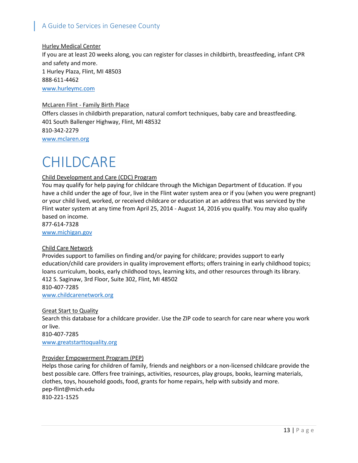#### Hurley Medical Center

If you are at least 20 weeks along, you can register for classes in childbirth, breastfeeding, infant CPR and safety and more. 1 Hurley Plaza, Flint, MI 48503 888-611-4462

[www.hurleymc.com](http://www.hurleymc.com/)

#### McLaren Flint - Family Birth Place

Offers classes in childbirth preparation, natural comfort techniques, baby care and breastfeeding. 401 South Ballenger Highway, Flint, MI 48532 810-342-2279 [www.mclaren.org](http://www.mclaren.org/)

## <span id="page-13-0"></span>CHILDCARE

#### Child Development and Care (CDC) Program

You may qualify for help paying for childcare through the Michigan Department of Education. If you have a child under the age of four, live in the Flint water system area or if you (when you were pregnant) or your child lived, worked, or received childcare or education at an address that was serviced by the Flint water system at any time from April 25, 2014 - August 14, 2016 you qualify. You may also qualify based on income.

877-614-7328 [www.michigan.gov](http://www.michigan.gov/)

#### Child Care Network

Provides support to families on finding and/or paying for childcare; provides support to early education/child care providers in quality improvement efforts; offers training in early childhood topics; loans curriculum, books, early childhood toys, learning kits, and other resources through its library. 412 S. Saginaw, 3rd Floor, Suite 302, Flint, MI 48502 810-407-7285

[www.childcarenetwork.org](http://www.childcarenetwork.org/)

#### Great Start to Quality

Search this database for a childcare provider. Use the ZIP code to search for care near where you work or live. 810-407-7285

[www.greatstarttoquality.](http://www.greatstarttoquality/)org

#### Provider Empowerment Program (PEP)

Helps those caring for children of family, friends and neighbors or a non-licensed childcare provide the best possible care. Offers free trainings, activities, resources, play groups, books, learning materials, clothes, toys, household goods, food, grants for home repairs, help with subsidy and more. pep-flint@mich.edu 810-221-1525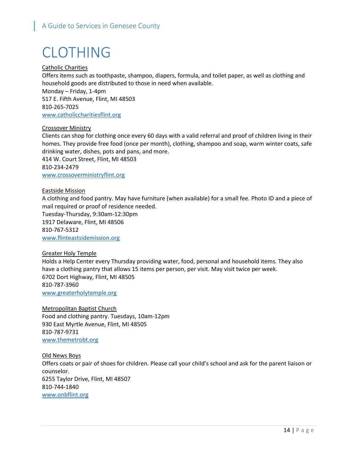# <span id="page-14-0"></span>CLOTHING

#### Catholic Charities

Offers items such as toothpaste, shampoo, diapers, formula, and toilet paper, as well as clothing and household goods are distributed to those in need when available. Monday – Friday, 1-4pm 517 E. Fifth Avenue, Flint, MI 48503 810-265-7025 [www.catholiccharitiesflint.org](http://www.catholiccharitiesflint.org/)

#### Crossover Ministry

Clients can shop for clothing once every 60 days with a valid referral and proof of children living in their homes. They provide free food (once per month), clothing, shampoo and soap, warm winter coats, safe drinking water, dishes, pots and pans, and more. 414 W. Court Street, Flint, MI 48503 810-234-2479

[www.crossoverministryflint.org](http://www.crossoverministryflint.org/)

#### Eastside Mission

A clothing and food pantry. May have furniture (when available) for a small fee. Photo ID and a piece of mail required or proof of residence needed. Tuesday-Thursday, 9:30am-12:30pm 1917 Delaware, Flint, MI 48506 810-767-5312 [www.flinteastsidemission.org](http://www.flinteastsidemission.org/)

#### Greater Holy Temple

Holds a Help Center every Thursday providing water, food, personal and household items. They also have a clothing pantry that allows 15 items per person, per visit. May visit twice per week. 6702 Dort Highway, Flint, MI 48505 810-787-3960 [www.greaterholytemple.org](http://www.greaterholytemple.org/)

Metropolitan Baptist Church Food and clothing pantry. Tuesdays, 10am-12pm 930 East Myrtle Avenue, Flint, MI 48505 810-787-9731 [www.themetrobt.org](http://www.themetrobt.org/)

Old News Boys Offers coats or pair of shoes for children. Please call your child's school and ask for the parent liaison or counselor. 6255 Taylor Drive, Flint, MI 48507 810-744-1840 [www.onbflint.org](http://www.onbflint.org/)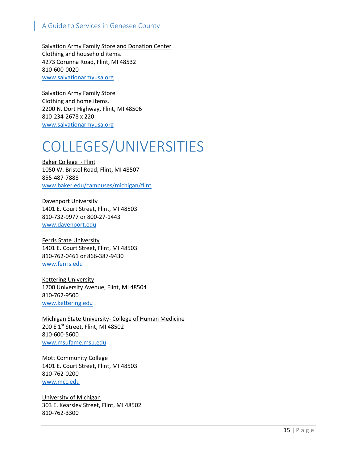Salvation Army Family Store and Donation Center Clothing and household items. 4273 Corunna Road, Flint, MI 48532 810-600-0020 [www.salvationarmyusa.org](http://www.salvationarmyusa.org/)

Salvation Army Family Store Clothing and home items. 2200 N. Dort Highway, Flint, MI 48506 810-234-2678 x 220 [www.salvationarmyusa.org](http://www.salvationarmyusa.org/)

## <span id="page-15-0"></span>COLLEGES/UNIVERSITIES

Baker College - Flint 1050 W. Bristol Road, Flint, MI 48507 855-487-7888 [www.baker.edu/campuses/michigan/flint](http://www.baker.edu/campuses/michigan/flint)

Davenport University 1401 E. Court Street, Flint, MI 48503 810-732-9977 or 800-27-1443 [www.davenport.edu](http://www.davenport.edu/)

Ferris State University 1401 E. Court Street, Flint, MI 48503 810-762-0461 or 866-387-9430 [www.ferris.edu](http://www.ferris.edu/)

Kettering University 1700 University Avenue, Flint, MI 48504 810-762-9500 [www.kettering.edu](http://www.kettering.edu/)

Michigan State University- College of Human Medicine 200 E 1st Street, Flint, MI 48502 810-600-5600 [www.msufame.msu.edu](http://www.msufame.msu.edu/)

Mott Community College 1401 E. Court Street, Flint, MI 48503 810-762-0200 [www.mcc.edu](http://www.mcc.edu/)

University of Michigan 303 E. Kearsley Street, Flint, MI 48502 810-762-3300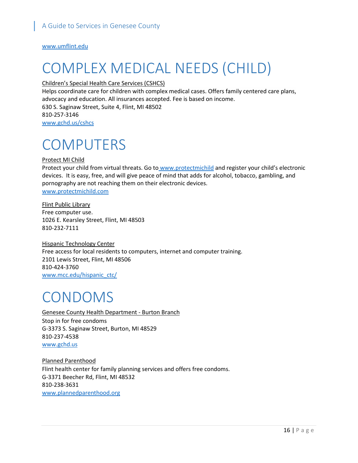[www.umflint.edu](http://www.umflint.edu/)

# <span id="page-16-0"></span>COMPLEX MEDICAL NEEDS (CHILD)

#### Children's Special Health Care Services (CSHCS)

Helps coordinate care for children with complex medical cases. Offers family centered care plans, advocacy and education. All insurances accepted. Fee is based on income. 630 S. Saginaw Street, Suite 4, Flint, MI 48502 810-257-3146 [www.gchd.us/cshcs](http://www.gchd.us/cshcs)

### <span id="page-16-1"></span>**COMPUTERS**

#### Protect MI Child

Protect your child from virtual threats. Go to www.protectmichild and register your child's electronic devices. It is easy, free, and will give peace of mind that adds for alcohol, tobacco, gambling, and pornography are not reaching them on their electronic devices. [www.protectmichild.com](http://www.protectmichild.com/)

Flint Public Library Free computer use. 1026 E. Kearsley Street, Flint, MI 48503 810-232-7111

Hispanic Technology Center Free access for local residents to computers, internet and computer training. 2101 Lewis Street, Flint, MI 48506 810-424-3760 [www.mcc.edu/hispanic\\_ctc/](http://www.mcc.edu/hispanic_ctc/)

### <span id="page-16-2"></span>CONDOMS

<span id="page-16-3"></span>Genesee County Health Department - Burton Branch Stop in for free condoms G-3373 S. Saginaw Street, Burton, MI 48529 810-237-4538 [www.gchd.us](http://www.gchd.us/)

<span id="page-16-5"></span><span id="page-16-4"></span>Planned Parenthood Flint health center for family planning services and offers free condoms. G-3371 Beecher Rd, Flint, MI 48532 810-238-3631 [www.plannedparenthood.org](http://www.plannedparenthood.org/)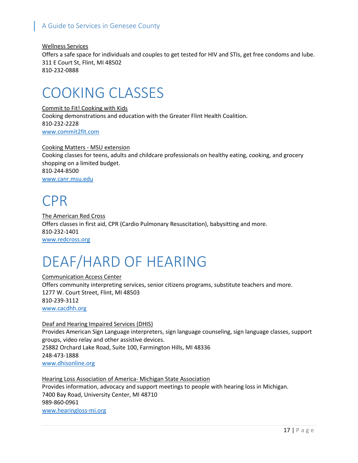Wellness Services Offers a safe space for individuals and couples to get tested for HIV and STIs, get free condoms and lube. 311 E Court St, Flint, MI 48502 810-232-0888

### <span id="page-17-0"></span>COOKING CLASSES

Commit to Fit! Cooking with Kids Cooking demonstrations and education with the Greater Flint Health Coalition. 810-232-2228 www.commit2fit.com

Cooking Matters - MSU extension Cooking classes for teens, adults and childcare professionals on healthy eating, cooking, and grocery shopping on a limited budget. 810-244-8500 www.canr.msu.edu

### <span id="page-17-1"></span>CPR

The American Red Cross Offers classes in first aid, CPR (Cardio Pulmonary Resuscitation), babysitting and more. 810-232-1401 [www.redcross.org](http://www.redcross.org/)

# <span id="page-17-2"></span>DEAF/HARD OF HEARING

Communication Access Center Offers community interpreting services, senior citizens programs, substitute teachers and more. 1277 W. Court Street, Flint, MI 48503 810-239-3112 [www.cacdhh.org](http://www.cacdhh.org/)

#### Deaf and Hearing Impaired Services (DHIS) Provides American Sign Language interpreters, sign language counseling, sign language classes, support groups, video relay and other assistive devices. 25882 Orchard Lake Road, Suite 100, Farmington Hills, MI 48336 248-473-1888

[www.dhisonline.org](http://www.dhisonline.org/)

Hearing Loss Association of America- Michigan State Association Provides information, advocacy and support meetings to people with hearing loss in Michigan. 7400 Bay Road, University Center, MI 48710 989-860-0961 [www.hearingloss-mi.org](http://www.hearingloss-mi.org/)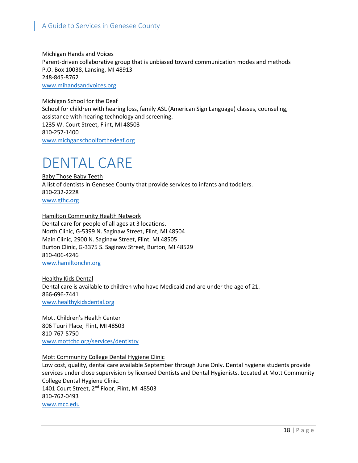Michigan Hands and Voices Parent-driven collaborative group that is unbiased toward communication modes and methods P.O. Box 10038, Lansing, MI 48913 248-845-8762 [www.mihandsandvoices.org](http://www.mihandsandvoices.org/)

Michigan School for the Deaf School for children with hearing loss, family ASL (American Sign Language) classes, counseling, assistance with hearing technology and screening. 1235 W. Court Street, Flint, MI 48503 810-257-1400 [www.michganschoolforthedeaf.org](http://www.michganschoolforthedeaf.org/)

### <span id="page-18-0"></span>DENTAL CARE

Baby Those Baby Teeth A list of dentists in Genesee County that provide services to infants and toddlers. 810-232-2228 www.gfhc.org

Hamilton Community Health Network Dental care for people of all ages at 3 locations. North Clinic, G-5399 N. Saginaw Street, Flint, MI 48504 Main Clinic, 2900 N. Saginaw Street, Flint, MI 48505 Burton Clinic, G-3375 S. Saginaw Street, Burton, MI 48529 810-406-4246 [www.hamiltonchn.org](http://www.hamiltonchn.org/)

Healthy Kids Dental Dental care is available to children who have Medicaid and are under the age of 21. 866-696-7441 www.healthykidsdental.org

Mott Children's Health Center 806 Tuuri Place, Flint, MI 48503 810-767-5750 [www.mottchc.org/services/dentistry](http://www.mottchc.org/services/dentistry)

#### Mott Community College Dental Hygiene Clinic

Low cost, quality, dental care available September through June Only. Dental hygiene students provide services under close supervision by licensed Dentists and Dental Hygienists. Located at Mott Community College Dental Hygiene Clinic. 1401 Court Street, 2<sup>nd</sup> Floor, Flint, MI 48503 810-762-0493 www.mcc.edu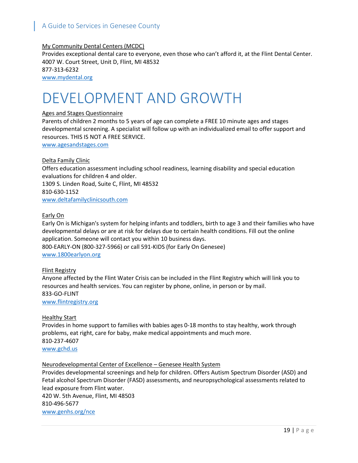#### My Community Dental Centers (MCDC)

Provides exceptional dental care to everyone, even those who can't afford it, at the Flint Dental Center. 4007 W. Court Street, Unit D, Flint, MI 48532 877-313-6232 [www.mydental.org](http://www.mydental.org/)

### <span id="page-19-0"></span>DEVELOPMENT AND GROWTH

#### Ages and Stages Questionnaire

Parents of children 2 months to 5 years of age can complete a FREE 10 minute ages and stages developmental screening. A specialist will follow up with an individualized email to offer support and resources. THIS IS NOT A FREE SERVICE.

[www.agesandstages.com](http://www.agesandstages.com/)

#### Delta Family Clinic

Offers education assessment including school readiness, learning disability and special education evaluations for children 4 and older. 1309 S. Linden Road, Suite C, Flint, MI 48532 810-630-1152 [www.deltafamilyclinicsouth.com](http://www.deltafamilyclinicsouth.com/)

#### Early On

Early On is Michigan's system for helping infants and toddlers, birth to age 3 and their families who have developmental delays or are at risk for delays due to certain health conditions. Fill out the online application. Someone will contact you within 10 business days. 800-EARLY-ON (800-327-5966) or call 591-KIDS (for Early On Genesee) [www.1800earlyon.org](http://www.1800earlyon.org/)

#### Flint Registry

Anyone affected by the Flint Water Crisis can be included in the Flint Registry which will link you to resources and health services. You can register by phone, online, in person or by mail. 833-GO-FLINT [www.flintregistry.org](http://www.flintregistry.org/)

#### Healthy Start

Provides in home support to families with babies ages 0-18 months to stay healthy, work through problems, eat right, care for baby, make medical appointments and much more. 810-237-4607 [www.gchd.us](http://www.gchd.us/)

#### Neurodevelopmental Center of Excellence – Genesee Health System

Provides developmental screenings and help for children. Offers Autism Spectrum Disorder (ASD) and Fetal alcohol Spectrum Disorder (FASD) assessments, and neuropsychological assessments related to lead exposure from Flint water. 420 W. 5th Avenue, Flint, MI 48503 810-496-5677 www.genhs.org/nce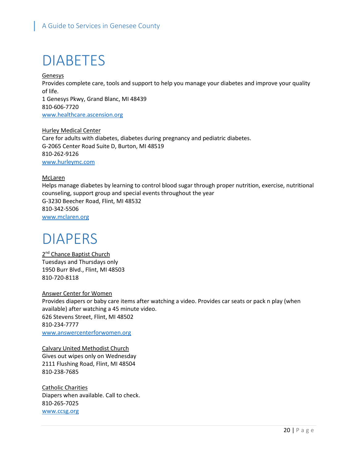## <span id="page-20-0"></span>DIABETES

Genesys Provides complete care, tools and support to help you manage your diabetes and improve your quality of life. 1 Genesys Pkwy, Grand Blanc, MI 48439 810-606-7720 [www.healthcare.ascension.org](http://www.healthcare.ascension.org/)

Hurley Medical Center Care for adults with diabetes, diabetes during pregnancy and pediatric diabetes. G-2065 Center Road Suite D, Burton, MI 48519 810-262-9126 [www.hurleymc.com](http://www.hurleymc.com/)

#### McLaren

Helps manage diabetes by learning to control blood sugar through proper nutrition, exercise, nutritional counseling, support group and special events throughout the year G-3230 Beecher Road, Flint, MI 48532 810-342-5506 [www.mclaren.org](http://www.mclaren.org/)

### <span id="page-20-1"></span>DIAPERS

2<sup>nd</sup> Chance Baptist Church Tuesdays and Thursdays only 1950 Burr Blvd., Flint, MI 48503 810-720-8118

Answer Center for Women Provides diapers or baby care items after watching a video. Provides car seats or pack n play (when available) after watching a 45 minute video. 626 Stevens Street, Flint, MI 48502 810-234-7777 [www.answercenterforwomen.org](http://www.answercenterforwomen.org/)

Calvary United Methodist Church Gives out wipes only on Wednesday 2111 Flushing Road, Flint, MI 48504 810-238-7685

Catholic Charities Diapers when available. Call to check. 810-265-7025 [www.ccsg.org](http://www.ccsg.org/)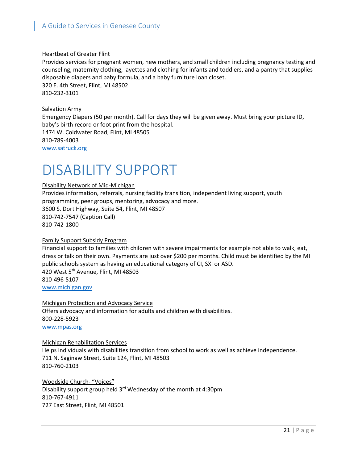#### Heartbeat of Greater Flint

Provides services for pregnant women, new mothers, and small children including pregnancy testing and counseling, maternity clothing, layettes and clothing for infants and toddlers, and a pantry that supplies disposable diapers and baby formula, and a baby furniture loan closet. 320 E. 4th Street, Flint, MI 48502 810-232-3101

Salvation Army

Emergency Diapers (50 per month). Call for days they will be given away. Must bring your picture ID, baby's birth record or foot print from the hospital. 1474 W. Coldwater Road, Flint, MI 48505 810-789-4003

[www.satruck.org](http://www.satruck.org/)

### <span id="page-21-0"></span>DISABILITY SUPPORT

#### Disability Network of Mid-Michigan

Provides information, referrals, nursing facility transition, independent living support, youth programming, peer groups, mentoring, advocacy and more. 3600 S. Dort Highway, Suite 54, Flint, MI 48507 810-742-7547 (Caption Call) 810-742-1800

#### Family Support Subsidy Program

Financial support to families with children with severe impairments for example not able to walk, eat, dress or talk on their own. Payments are just over \$200 per months. Child must be identified by the MI public schools system as having an educational category of CI, SXI or ASD. 420 West 5th Avenue, Flint, MI 48503 810-496-5107 [www.michigan.gov](http://www.michigan.gov/)

Michigan Protection and Advocacy Service Offers advocacy and information for adults and children with disabilities. 800-228-5923 [www.mpas.org](http://www.mpas.org/)

Michigan Rehabilitation Services Helps individuals with disabilities transition from school to work as well as achieve independence. 711 N. Saginaw Street, Suite 124, Flint, MI 48503 810-760-2103

Woodside Church- "Voices" Disability support group held 3<sup>rd</sup> Wednesday of the month at 4:30pm 810-767-4911 727 East Street, Flint, MI 48501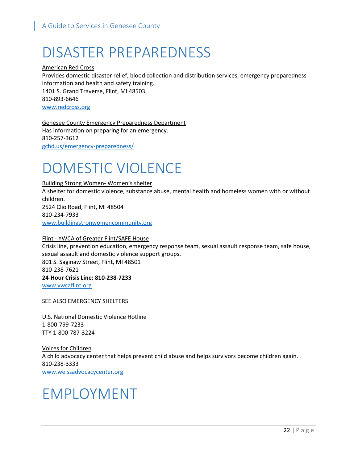# <span id="page-22-0"></span>DISASTER PREPAREDNESS

American Red Cross Provides domestic disaster relief, blood collection and distribution services, emergency preparedness information and health and safety training. 1401 S. Grand Traverse, Flint, MI 48503 810-893-6646 [www.redcross.org](http://www.redcross.org/)

Genesee County Emergency Preparedness Department Has information on preparing for an emergency. 810-257-3612 gchd.us/emergency-preparedness/

## <span id="page-22-1"></span>DOMESTIC VIOLENCE

#### Building Strong Women- Women's shelter

A shelter for domestic violence, substance abuse, mental health and homeless women with or without children. 2524 Clio Road, Flint, MI 48504 810-234-7933 [www.buildingstronwomencommunity.org](http://www.buildingstronwomencommunity.org/)

#### Flint - YWCA of Greater Flint/SAFE House

Crisis line, prevention education, emergency response team, sexual assault response team, safe house, sexual assault and domestic violence support groups. 801 S. Saginaw Street, Flint, MI 48501 810-238-7621 **24-Hour Crisis Line: 810-238-7233** [www.ywcaflint.org](http://www.ywcaflint.org/)

SEE ALSO EMERGENCY SHELTERS

U.S. National Domestic Violence Hotline 1-800-799-7233 TTY 1-800-787-3224

Voices for Children A child advocacy center that helps prevent child abuse and helps survivors become children again. 810-238-3333 [www.weissadvocacycenter.org](http://www.weissadvocacycenter.org/)

### <span id="page-22-2"></span>EMPLOYMENT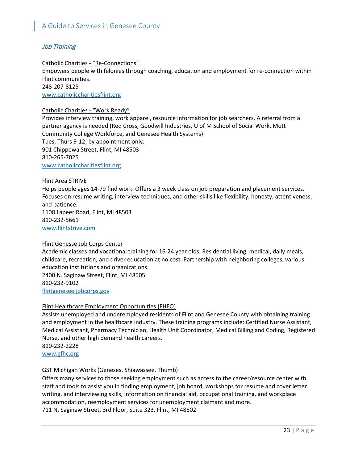#### Job Training

#### Catholic Charities - "Re-Connections"

Empowers people with felonies through coaching, education and employment for re-connection within Flint communities.

248-207-8125

[www.catholiccharitiesflint.org](http://www.catholiccharitiesflint.org/)

#### Catholic Charities - "Work Ready"

Provides interview training, work apparel, resource information for job searchers. A referral from a partner agency is needed (Red Cross, Goodwill Industries, U of M School of Social Work, Mott Community College Workforce, and Genesee Health Systems) Tues, Thurs 9-12, by appointment only. 901 Chippewa Street, Flint, MI 48503 810-265-7025 [www.catholiccharitiesflint.org](http://www.catholiccharitiesflint.org/)

#### Flint Area STRIVE

Helps people ages 14-79 find work. Offers a 3 week class on job preparation and placement services. Focuses on resume writing, interview techniques, and other skills like flexibility, honesty, attentiveness, and patience. 1108 Lapeer Road, Flint, MI 48503

810-232-5661

[www.flintstrive.com](http://www.flintstrive.com/)

#### Flint Genesse Job Corps Center

Academic classes and vocational training for 16-24 year olds. Residential living, medical, daily meals, childcare, recreation, and driver education at no cost. Partnership with neighboring colleges, various education institutions and organizations.

2400 N. Saginaw Street, Flint, MI 48505 810-232-9102 [flintgenesee.jobcorps.gov](https://flintgenesee.jobcorps.gov/)

#### Flint Healthcare Employment Opportunities (FHEO)

Assists unemployed and underemployed residents of Flint and Genesee County with obtaining training and employment in the healthcare industry. These training programs include: Certified Nurse Assistant, Medical Assistant, Pharmacy Technician, Health Unit Coordinator, Medical Billing and Coding, Registered Nurse, and other high demand health careers. 810-232-2228

[www.gfhc.org](http://www.gfhc.org/)

### GST Michigan Works (Geneses, Shiawassee, Thumb)

Offers many services to those seeking employment such as access to the career/resource center with staff and tools to assist you in finding employment, job board, workshops for resume and cover letter writing, and interviewing skills, information on financial aid, occupational training, and workplace accommodation, reemployment services for unemployment claimant and more. 711 N. Saginaw Street, 3rd Floor, Suite 323, Flint, MI 48502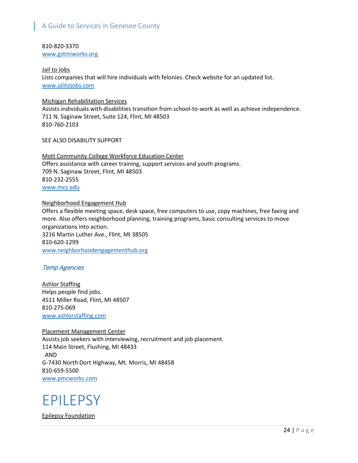810-820-3370

[www.gstmiworks.org](http://www.gstmiworks.org/)

Jail to Jobs Lists companies that will hire individuals with felonies. Check website for an updated list. [www.jalitojobs.com](http://www.jalitojobs.com/)

#### Michigan Rehabilitation Services

Assists individuals with disabilities transition from school-to-work as well as achieve independence. 711 N. Saginaw Street, Suite 124, Flint, MI 48503 810-760-2103

SEE ALSO DISABILITY SUPPORT

Mott Community College Workforce Education Center Offers assistance with career training, support services and youth programs. 709 N. Saginaw Street, Flint, MI 48503 810-232-2555 [www.mcc.edu](http://www.mcc.edu/)

Neighborhood Engagement Hub Offers a flexible meeting space, desk space, free computers to use, copy machines, free faxing and more. Also offers neighborhood planning, training programs, basic consulting services to move organizations into action. 3216 Martin Luther Ave., Flint, MI 38505 810-620-1299 [www.neighborhoodengagementhub.org](http://www.neighborhoodengagementhub.org/)

#### Temp Agencies

Ashlor Staffing Helps people find jobs. 4511 Miller Road, Flint, MI 48507 810-275-069 www.ashlorstaffing.com

Placement Management Center Assists job seekers with interviewing, recruitment and job placement. 114 Main Street, Flushing, MI 48433 AND G-7430 North Dort Highway, Mt. Morris, MI 48458 810-659-5500 [www.pmcworks.com](http://www.pmcworks.com/)

### <span id="page-24-0"></span>EPILEPSY

Epilepsy Foundation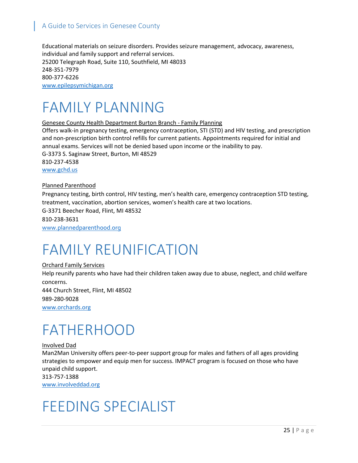Educational materials on seizure disorders. Provides seizure management, advocacy, awareness, individual and family support and referral services. 25200 Telegraph Road, Suite 110, Southfield, MI 48033 248-351-7979 800-377-6226 [www.epilepsymichigan.org](http://www.epilepsymichigan.org/)

### <span id="page-25-0"></span>FAMILY PLANNING

#### Genesee County Health Department Burton Branch - Family Planning

Offers walk-in pregnancy testing, emergency contraception, STI (STD) and HIV testing, and prescription and non-prescription birth control refills for current patients. Appointments required for initial and annual exams. Services will not be denied based upon income or the inability to pay. G-3373 S. Saginaw Street, Burton, MI 48529 810-237-4538 [www.gchd.us](http://www.gchd.us/)

#### Planned Parenthood

Pregnancy testing, birth control, HIV testing, men's health care, emergency contraception STD testing, treatment, vaccination, abortion services, women's health care at two locations.

G-3371 Beecher Road, Flint, MI 48532 810-238-3631 [www.plannedparenthood.org](http://www.plannedparenthood.org/)

### <span id="page-25-1"></span>FAMILY REUNIFICATION

#### Orchard Family Services

Help reunify parents who have had their children taken away due to abuse, neglect, and child welfare concerns. 444 Church Street, Flint, MI 48502 989-280-9028

www.orchards.org

### <span id="page-25-2"></span>FATHERHOOD

#### Involved Dad

Man2Man University offers peer-to-peer support group for males and fathers of all ages providing strategies to empower and equip men for success. IMPACT program is focused on those who have unpaid child support.

313-757-1388 www.involveddad.org

### <span id="page-25-3"></span>FEEDING SPECIALIST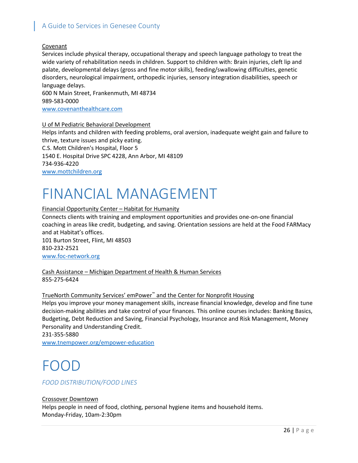#### Covenant

Services include physical therapy, occupational therapy and speech language pathology to treat the wide variety of rehabilitation needs in children. Support to children with: Brain injuries, cleft lip and palate, developmental delays (gross and fine motor skills), feeding/swallowing difficulties, genetic disorders, neurological impairment, orthopedic injuries, sensory integration disabilities, speech or language delays.

600 N Main Street, Frankenmuth, MI 48734 989-583-0000 [www.covenanthealthcare.com](http://www.covenanthealthcare.com/)

#### U of M Pediatric Behavioral Development

Helps infants and children with feeding problems, oral aversion, inadequate weight gain and failure to thrive, texture issues and picky eating. C.S. Mott Children's Hospital, Floor 5 1540 E. Hospital Drive SPC 4228, Ann Arbor, MI 48109 734-936-4220 www.mottchildren.org

### <span id="page-26-0"></span>FINANCIAL MANAGEMENT

#### Financial Opportunity Center – Habitat for Humanity

Connects clients with training and employment opportunities and provides one-on-one financial coaching in areas like credit, budgeting, and saving. Orientation sessions are held at the Food FARMacy and at Habitat's offices. 101 Burton Street, Flint, MI 48503 810-232-2521 [www.foc-network.org](http://www.foc-network.org/)

Cash Assistance – Michigan Department of Health & Human Services 855-275-6424

#### TrueNorth Community Services' emPower™ and the Center for Nonprofit Housing

Helps you improve your money management skills, increase financial knowledge, develop and fine tune decision-making abilities and take control of your finances. This online courses includes: Banking Basics, Budgeting, Debt Reduction and Saving, Financial Psychology, Insurance and Risk Management, Money Personality and Understanding Credit.

231-355-5880 [www.tnempower.org/empower-education](http://www.tnempower.org/empower-education)

### <span id="page-26-1"></span>FOOD

#### *FOOD DISTRIBUTION/FOOD LINES*

Crossover Downtown Helps people in need of food, clothing, personal hygiene items and household items. Monday-Friday, 10am-2:30pm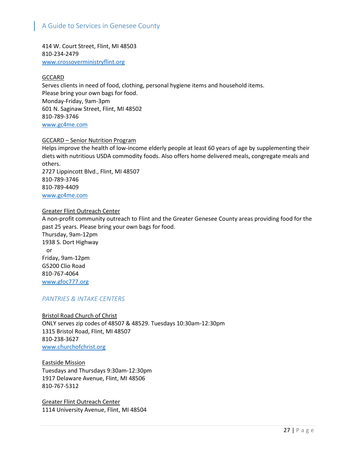414 W. Court Street, Flint, MI 48503 810-234-2479 [www.crossoverministryflint.org](http://www.crossoverministryflint.org/)

#### **GCCARD**

Serves clients in need of food, clothing, personal hygiene items and household items. Please bring your own bags for food. Monday-Friday, 9am-3pm 601 N. Saginaw Street, Flint, MI 48502 810-789-3746 [www.gc4me.com](http://www.gc4me.com/)

#### GCCARD – Senior Nutrition Program

Helps improve the health of low-income elderly people at least 60 years of age by supplementing their diets with nutritious USDA commodity foods. Also offers home delivered meals, congregate meals and others. 2727 Lippincott Blvd., Flint, MI 48507

810-789-3746 810-789-4409 [www.gc4me.com](http://www.gc4me.com/)

#### Greater Flint Outreach Center

A non-profit community outreach to Flint and the Greater Genesee County areas providing food for the past 25 years. Please bring your own bags for food.

Thursday, 9am-12pm 1938 S. Dort Highway or Friday, 9am-12pm G5200 Clio Road 810-767-4064 [www.gfoc777.org](http://www.gfoc777.org/)

#### *PANTRIES & INTAKE CENTERS*

Bristol Road Church of Christ

ONLY serves zip codes of 48507 & 48529. Tuesdays 10:30am-12:30pm 1315 Bristol Road, Flint, MI 48507 810-238-3627 [www.churchofchrist.org](http://www.churchofchrist.org/)

Eastside Mission Tuesdays and Thursdays 9:30am-12:30pm 1917 Delaware Avenue, Flint, MI 48506 810-767-5312

Greater Flint Outreach Center 1114 University Avenue, Flint, MI 48504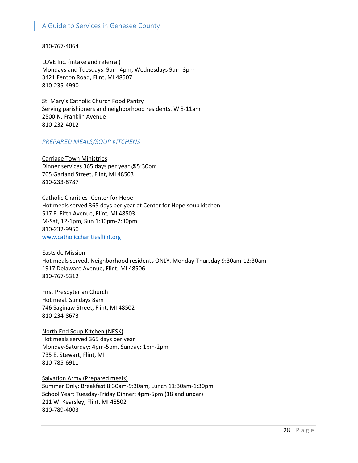810-767-4064

LOVE Inc. (intake and referral) Mondays and Tuesdays: 9am-4pm, Wednesdays 9am-3pm 3421 Fenton Road, Flint, MI 48507 810-235-4990

St. Mary's Catholic Church Food Pantry Serving parishioners and neighborhood residents. W 8-11am 2500 N. Franklin Avenue 810-232-4012

#### *PREPARED MEALS/SOUP KITCHENS*

Carriage Town Ministries Dinner services 365 days per year @5:30pm 705 Garland Street, Flint, MI 48503 810-233-8787

Catholic Charities- Center for Hope Hot meals served 365 days per year at Center for Hope soup kitchen 517 E. Fifth Avenue, Flint, MI 48503 M-Sat, 12-1pm, Sun 1:30pm-2:30pm 810-232-9950 [www.catholiccharitiesflint.org](http://www.catholiccharitiesflint.org/)

Eastside Mission Hot meals served. Neighborhood residents ONLY. Monday-Thursday 9:30am-12:30am 1917 Delaware Avenue, Flint, MI 48506 810-767-5312

First Presbyterian Church Hot meal. Sundays 8am 746 Saginaw Street, Flint, MI 48502 810-234-8673

North End Soup Kitchen (NESK) Hot meals served 365 days per year Monday-Saturday: 4pm-5pm, Sunday: 1pm-2pm 735 E. Stewart, Flint, MI 810-785-6911

Salvation Army (Prepared meals) Summer Only: Breakfast 8:30am-9:30am, Lunch 11:30am-1:30pm School Year: Tuesday-Friday Dinner: 4pm-5pm (18 and under) 211 W. Kearsley, Flint, MI 48502 810-789-4003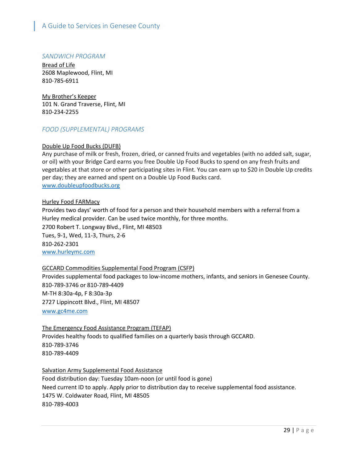#### *SANDWICH PROGRAM*

Bread of Life 2608 Maplewood, Flint, MI 810-785-6911

My Brother's Keeper 101 N. Grand Traverse, Flint, MI 810-234-2255

#### *FOOD (SUPPLEMENTAL) PROGRAMS*

#### Double Up Food Bucks (DUFB)

Any purchase of milk or fresh, frozen, dried, or canned fruits and vegetables (with no added salt, sugar, or oil) with your Bridge Card earns you free Double Up Food Bucks to spend on any fresh fruits and vegetables at that store or other participating sites in Flint. You can earn up to \$20 in Double Up credits per day; they are earned and spent on a Double Up Food Bucks card. www.doubleupfoodbucks.org

#### Hurley Food FARMacy

Provides two days' worth of food for a person and their household members with a referral from a Hurley medical provider. Can be used twice monthly, for three months. 2700 Robert T. Longway Blvd., Flint, MI 48503 Tues, 9-1, Wed, 11-3, Thurs, 2-6 810-262-2301 [www.hurleymc.com](http://www.hurleymc.com/)

#### GCCARD Commodities Supplemental Food Program (CSFP)

Provides supplemental food packages to low-income mothers, infants, and seniors in Genesee County. 810-789-3746 or 810-789-4409 M-TH 8:30a-4p, F 8:30a-3p 2727 Lippincott Blvd., Flint, MI 48507 [www.gc4me.com](http://www.gc4me.com/)

#### The Emergency Food Assistance Program (TEFAP)

Provides healthy foods to qualified families on a quarterly basis through GCCARD. 810-789-3746 810-789-4409

#### Salvation Army Supplemental Food Assistance

Food distribution day: Tuesday 10am-noon (or until food is gone) Need current ID to apply. Apply prior to distribution day to receive supplemental food assistance. 1475 W. Coldwater Road, Flint, MI 48505 810-789-4003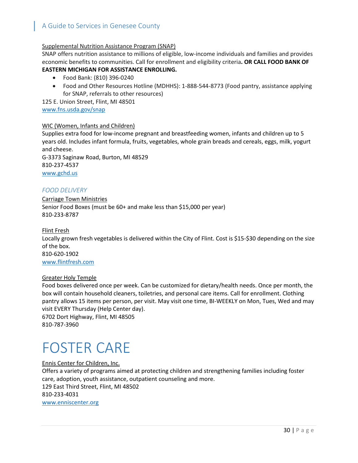#### Supplemental Nutrition Assistance Program (SNAP)

SNAP offers nutrition assistance to millions of eligible, low-income individuals and families and provides economic benefits to communities. Call for enrollment and eligibility criteria**. OR CALL FOOD BANK OF** 

#### **EASTERN MICHIGAN FOR ASSISTANCE ENROLLING.**

- Food Bank: (810) 396-0240
- Food and Other Resources Hotline (MDHHS): 1-888-544-8773 (Food pantry, assistance applying for SNAP, referrals to other resources)

125 E. Union Street, Flint, MI 48501 [www.fns.usda.gov/snap](http://www.fns.usda.gov/snap)

#### WIC (Women, Infants and Children)

Supplies extra food for low-income pregnant and breastfeeding women, infants and children up to 5 years old. Includes infant formula, fruits, vegetables, whole grain breads and cereals, eggs, milk, yogurt and cheese.

G-3373 Saginaw Road, Burton, MI 48529 810-237-4537 [www.gchd.us](http://www.gchd.us/)

#### *FOOD DELIVERY*

Carriage Town Ministries Senior Food Boxes (must be 60+ and make less than \$15,000 per year) 810-233-8787

#### Flint Fresh

Locally grown fresh vegetables is delivered within the City of Flint. Cost is \$15-\$30 depending on the size of the box. 810-620-1902

[www.flintfresh.com](http://www.flintfresh.com/)

#### Greater Holy Temple

Food boxes delivered once per week. Can be customized for dietary/health needs. Once per month, the box will contain household cleaners, toiletries, and personal care items. Call for enrollment. Clothing pantry allows 15 items per person, per visit. May visit one time, BI-WEEKLY on Mon, Tues, Wed and may visit EVERY Thursday (Help Center day). 6702 Dort Highway, Flint, MI 48505

810-787-3960

# <span id="page-30-0"></span>FOSTER CARE

Ennis Center for Children, Inc. Offers a variety of programs aimed at protecting children and strengthening families including foster care, adoption, youth assistance, outpatient counseling and more. 129 East Third Street, Flint, MI 48502 810-233-4031 [www.enniscenter.org](http://www.enniscenter.org/)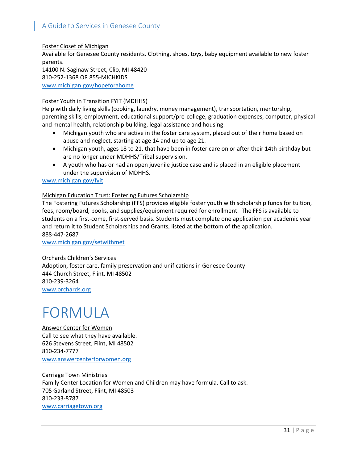Foster Closet of Michigan Available for Genesee County residents. Clothing, shoes, toys, baby equipment available to new foster parents. 14100 N. Saginaw Street, Clio, MI 48420 810-252-1368 OR 855-MICHKIDS [www.michigan.gov/hopeforahome](http://www.michigan.gov/hopeforahome)

#### Foster Youth in Transition FYIT (MDHHS)

Help with daily living skills (cooking, laundry, money management), transportation, mentorship, parenting skills, employment, educational support/pre-college, graduation expenses, computer, physical and mental health, relationship building, legal assistance and housing.

- Michigan youth who are active in the foster care system, placed out of their home based on abuse and neglect, starting at age 14 and up to age 21.
- Michigan youth, ages 18 to 21, that have been in foster care on or after their 14th birthday but are no longer under MDHHS/Tribal supervision.
- A youth who has or had an open juvenile justice case and is placed in an eligible placement under the supervision of MDHHS.

#### [www.michigan.gov/fyit](http://www.michigan.gov/fyit)

#### Michigan Education Trust: Fostering Futures Scholarship

The Fostering Futures Scholarship (FFS) provides eligible foster youth with scholarship funds for tuition, fees, room/board, books, and supplies/equipment required for enrollment. The FFS is available to students on a first-come, first-served basis. Students must complete one application per academic year and return it to Student Scholarships and Grants, listed at the bottom of the application. 888-447-2687

www.michigan.gov/setwithmet

#### Orchards Children's Services

Adoption, foster care, family preservation and unifications in Genesee County 444 Church Street, Flint, MI 48502 810-239-3264 [www.orchards.org](http://www.orchards.org/)

## <span id="page-31-0"></span>FORMULA

Answer Center for Women Call to see what they have available. 626 Stevens Street, Flint, MI 48502 810-234-7777 [www.answercenterforwomen.org](http://www.answercenterforwomen.org/)

Carriage Town Ministries Family Center Location for Women and Children may have formula. Call to ask. 705 Garland Street, Flint, MI 48503 810-233-8787 [www.carriagetown.org](http://www.carriagetown.org/)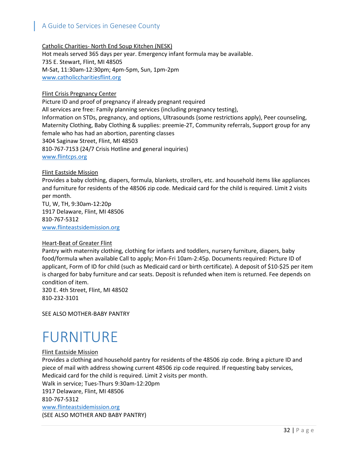Catholic Charities- North End Soup Kitchen (NESK) Hot meals served 365 days per year. Emergency infant formula may be available. 735 E. Stewart, Flint, MI 48505 M-Sat, 11:30am-12:30pm; 4pm-5pm, Sun, 1pm-2pm [www.catholiccharitiesflint.org](http://www.catholiccharitiesflint.org/)

#### Flint Crisis Pregnancy Center

Picture ID and proof of pregnancy if already pregnant required All services are free: Family planning services (including pregnancy testing), Information on STDs, pregnancy, and options, Ultrasounds (some restrictions apply), Peer counseling, Maternity Clothing, Baby Clothing & supplies: preemie-2T, Community referrals, Support group for any female who has had an abortion, parenting classes 3404 Saginaw Street, Flint, MI 48503 810-767-7153 (24/7 Crisis Hotline and general inquiries) [www.flintcps.org](http://www.flintcps.org/)

#### Flint Eastside Mission

Provides a baby clothing, diapers, formula, blankets, strollers, etc. and household items like appliances and furniture for residents of the 48506 zip code. Medicaid card for the child is required. Limit 2 visits per month.

TU, W, TH, 9:30am-12:20p 1917 Delaware, Flint, MI 48506 810-767-5312 [www.flinteastsidemission.org](http://www.flinteastsidemission.org/)

#### Heart-Beat of Greater Flint

Pantry with maternity clothing, clothing for infants and toddlers, nursery furniture, diapers, baby food/formula when available Call to apply; Mon-Fri 10am-2:45p. Documents required: Picture ID of applicant, Form of ID for child (such as Medicaid card or birth certificate). A deposit of \$10-\$25 per item is charged for baby furniture and car seats. Deposit is refunded when item is returned. Fee depends on condition of item.

320 E. 4th Street, Flint, MI 48502 810-232-3101

SEE ALSO MOTHER-BABY PANTRY

## <span id="page-32-0"></span>FURNITURE

#### Flint Eastside Mission

Provides a clothing and household pantry for residents of the 48506 zip code. Bring a picture ID and piece of mail with address showing current 48506 zip code required. If requesting baby services, Medicaid card for the child is required. Limit 2 visits per month. Walk in service; Tues-Thurs 9:30am-12:20pm 1917 Delaware, Flint, MI 48506 810-767-5312 [www.flinteastsidemission.org](http://www.flinteastsidemission.org/) (SEE ALSO MOTHER AND BABY PANTRY)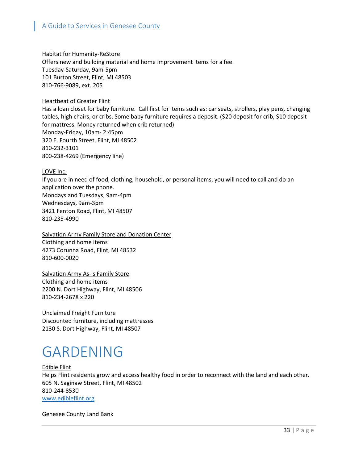#### Habitat for Humanity-ReStore

Offers new and building material and home improvement items for a fee. Tuesday-Saturday, 9am-5pm 101 Burton Street, Flint, MI 48503 810-766-9089, ext. 205

#### Heartbeat of Greater Flint

Has a loan closet for baby furniture. Call first for items such as: car seats, strollers, play pens, changing tables, high chairs, or cribs. Some baby furniture requires a deposit. (\$20 deposit for crib, \$10 deposit for mattress. Money returned when crib returned) Monday-Friday, 10am- 2:45pm 320 E. Fourth Street, Flint, MI 48502 810-232-3101 800-238-4269 (Emergency line)

#### LOVE Inc.

If you are in need of food, clothing, household, or personal items, you will need to call and do an application over the phone. Mondays and Tuesdays, 9am-4pm Wednesdays, 9am-3pm 3421 Fenton Road, Flint, MI 48507 810-235-4990

Salvation Army Family Store and Donation Center Clothing and home items 4273 Corunna Road, Flint, MI 48532 810-600-0020

Salvation Army As-Is Family Store Clothing and home items 2200 N. Dort Highway, Flint, MI 48506 810-234-2678 x 220

Unclaimed Freight Furniture Discounted furniture, including mattresses 2130 S. Dort Highway, Flint, MI 48507

### <span id="page-33-0"></span>GARDENING

Edible Flint Helps Flint residents grow and access healthy food in order to reconnect with the land and each other. 605 N. Saginaw Street, Flint, MI 48502 810-244-8530 [www.edibleflint.org](http://www.edibleflint.org/)

Genesee County Land Bank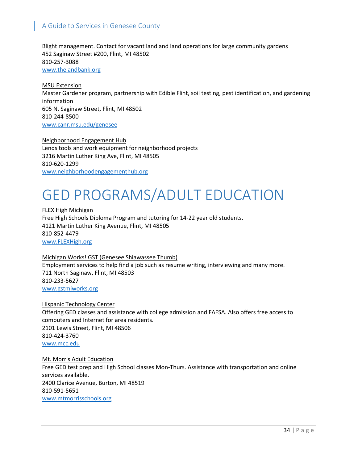Blight management. Contact for vacant land and land operations for large community gardens 452 Saginaw Street #200, Flint, MI 48502 810-257-3088 www.thelandbank.org

MSU Extension Master Gardener program, partnership with Edible Flint, soil testing, pest identification, and gardening information 605 N. Saginaw Street, Flint, MI 48502 810-244-8500 www.canr.msu.edu/genesee

Neighborhood Engagement Hub Lends tools and work equipment for neighborhood projects 3216 Martin Luther King Ave, Flint, MI 48505 810-620-1299 www.neighborhoodengagementhub.org

## <span id="page-34-0"></span>GED PROGRAMS/ADULT EDUCATION

FLEX High Michigan Free High Schools Diploma Program and tutoring for 14-22 year old students. 4121 Martin Luther King Avenue, Flint, MI 48505 810-852-4479 [www.FLEXHigh.org](http://www.flexhigh.org/)

#### Michigan Works! GST (Genesee Shiawassee Thumb) Employment services to help find a job such as resume writing, interviewing and many more. 711 North Saginaw, Flint, MI 48503 810-233-5627 [www.gstmiworks.org](http://www.gstmiworks.org/)

#### Hispanic Technology Center

Offering GED classes and assistance with college admission and FAFSA. Also offers free access to computers and Internet for area residents. 2101 Lewis Street, Flint, MI 48506 810-424-3760 www.mcc.edu

Mt. Morris Adult Education Free GED test prep and High School classes Mon-Thurs. Assistance with transportation and online services available. 2400 Clarice Avenue, Burton, MI 48519 810-591-5651 www.mtmorrisschools.org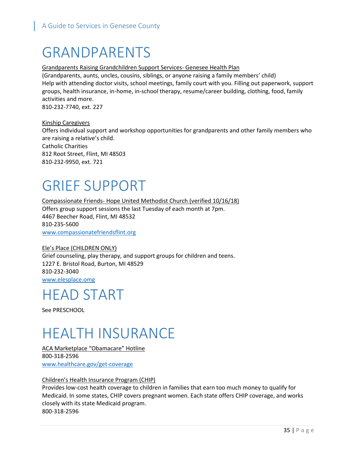### <span id="page-35-0"></span>GRANDPARENTS

#### Grandparents Raising Grandchildren Support Services- Genesee Health Plan

(Grandparents, aunts, uncles, cousins, siblings, or anyone raising a family members' child) Help with attending doctor visits, school meetings, family court with you. Filling out paperwork, support groups, health insurance, in-home, in-school therapy, resume/career building, clothing, food, family activities and more.

810-232-7740, ext. 227

Kinship Caregivers Offers individual support and workshop opportunities for grandparents and other family members who are raising a relative's child. Catholic Charities 812 Root Street, Flint, MI 48503 810-232-9950, ext. 721

### <span id="page-35-1"></span>GRIEF SUPPORT

Compassionate Friends- Hope United Methodist Church (verified 10/16/18) Offers group support sessions the last Tuesday of each month at 7pm. 4467 Beecher Road, Flint, MI 48532 810-235-5600 www.compassionatefriendsflint.org

#### Ele's Place (CHILDREN ONLY) Grief counseling, play therapy, and support groups for children and teens. 1227 E. Bristol Road, Burton, MI 48529 810-232-3040 [www.elesplace.omg](http://www.elesplace.omg/)

### <span id="page-35-2"></span>HEAD START

See PRESCHOOL

# <span id="page-35-3"></span>HEALTH INSURANCE

ACA Marketplace "Obamacare" Hotline 800-318-2596 www.healthcare.gov/get-coverage

#### Children's Health Insurance Program (CHIP)

Provides low-cost health coverage to children in families that earn too much money to qualify for Medicaid. In some states, CHIP covers pregnant women. Each state offers CHIP coverage, and works closely with its state Medicaid program. 800-318-2596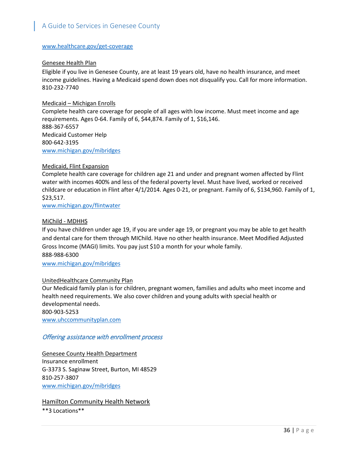#### www.healthcare.gov/get-coverage

### Genesee Health Plan

Eligible if you live in Genesee County, are at least 19 years old, have no health insurance, and meet income guidelines. Having a Medicaid spend down does not disqualify you. Call for more information. 810-232-7740

### Medicaid – Michigan Enrolls

Complete health care coverage for people of all ages with low income. Must meet income and age requirements. Ages 0-64. Family of 6, \$44,874. Family of 1, \$16,146. 888-367-6557 Medicaid Customer Help 800-642-3195 [www.michigan.gov/mibridges](http://www.michigan.gov/mibridges)

### Medicaid, Flint Expansion

Complete health care coverage for children age 21 and under and pregnant women affected by Flint water with incomes 400% and less of the federal poverty level. Must have lived, worked or received childcare or education in Flint after 4/1/2014. Ages 0-21, or pregnant. Family of 6, \$134,960. Family of 1, \$23,517.

[www.michigan.gov/flintwater](http://www.michigan.gov/flintwater)

## MiChild - MDHHS

If you have children under age 19, if you are under age 19, or pregnant you may be able to get health and dental care for them through MIChild. Have no other health insurance. Meet Modified Adjusted Gross Income (MAGI) limits. You pay just \$10 a month for your whole family. 888-988-6300

[www.michigan.gov/mibridges](http://www.michigan.gov/mibridges)

## UnitedHealthcare Community Plan

Our Medicaid family plan is for children, pregnant women, families and adults who meet income and health need requirements. We also cover children and young adults with special health or developmental needs.

800-903-5253 [www.uhccommunityplan.com](http://www.uhccommunityplan.com/)

## Offering assistance with enrollment process

Genesee County Health Department Insurance enrollment G-3373 S. Saginaw Street, Burton, MI 48529 810-257-3807 [www.michigan.gov/mibridges](http://www.michigan.gov/mibridges)

Hamilton Community Health Network \*\*3 Locations\*\*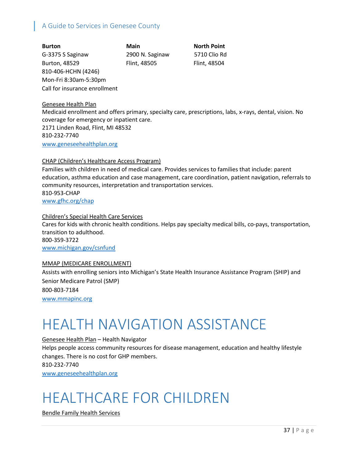**Burton Main North Point** G-3375 S Saginaw 2900 N. Saginaw 5710 Clio Rd Burton, 48529 Flint, 48505 Flint, 48504 810-406-HCHN (4246) Mon-Fri 8:30am-5:30pm Call for insurance enrollment

Genesee Health Plan

Medicaid enrollment and offers primary, specialty care, prescriptions, labs, x-rays, dental, vision. No coverage for emergency or inpatient care. 2171 Linden Road, Flint, MI 48532 810-232-7740 [www.geneseehealthplan.org](http://www.geneseehealthplan.org/)

### CHAP (Children's Healthcare Access Program)

Families with children in need of medical care. Provides services to families that include: parent education, asthma education and case management, care coordination, patient navigation, referrals to community resources, interpretation and transportation services. 810-953-CHAP [www.gfhc.org/chap](http://www.gfhc.org/chap)

Children's Special Health Care Services Cares for kids with chronic health conditions. Helps pay specialty medical bills, co-pays, transportation, transition to adulthood. 800-359-3722 [www.michigan.gov/csnfund](http://www.michigan.gov/csnfund)

#### MMAP (MEDICARE ENROLLMENT)

Assists with enrolling seniors into Michigan's State Health Insurance Assistance Program (SHIP) and Senior Medicare Patrol (SMP) 800-803-7184 [www.mmapinc.org](http://www.mmapinc.org/)

# HEALTH NAVIGATION ASSISTANCE

Genesee Health Plan – Health Navigator Helps people access community resources for disease management, education and healthy lifestyle changes. There is no cost for GHP members. 810-232-7740 [www.geneseehealthplan.org](http://www.geneseehealthplan.org/)

## HEALTHCARE FOR CHILDREN

Bendle Family Health Services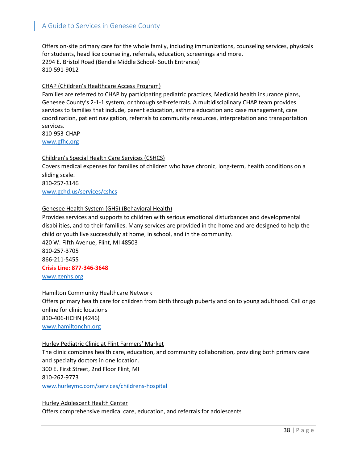Offers on-site primary care for the whole family, including immunizations, counseling services, physicals for students, head lice counseling, referrals, education, screenings and more. 2294 E. Bristol Road (Bendle Middle School- South Entrance) 810-591-9012

### CHAP (Children's Healthcare Access Program)

Families are referred to CHAP by participating pediatric practices, Medicaid health insurance plans, Genesee County's 2-1-1 system, or through self-referrals. A multidisciplinary CHAP team provides services to families that include, parent education, asthma education and case management, care coordination, patient navigation, referrals to community resources, interpretation and transportation services.

810-953-CHAP www.gfhc.org

### Children's Special Health Care Services (CSHCS)

Covers medical expenses for families of children who have chronic, long-term, health conditions on a sliding scale. 810-257-3146

[www.gchd.us/services/cshcs](http://www.gchd.us/services/cshcs)

## Genesee Health System (GHS) (Behavioral Health)

Provides services and supports to children with serious emotional disturbances and developmental disabilities, and to their families. Many services are provided in the home and are designed to help the child or youth live successfully at home, in school, and in the community.

420 W. Fifth Avenue, Flint, MI 48503 810-257-3705 866-211-5455 **Crisis Line: 877-346-3648** [www.genhs.org](http://www.genhs.org/)

#### Hamilton Community Healthcare Network

Offers primary health care for children from birth through puberty and on to young adulthood. Call or go online for clinic locations 810-406-HCHN (4246) [www.hamiltonchn.org](http://www.hamiltonchn.org/)

#### Hurley Pediatric Clinic at Flint Farmers' Market

The clinic combines health care, education, and community collaboration, providing both primary care and specialty doctors in one location. 300 E. First Street, 2nd Floor Flint, MI 810-262-9773 [www.hurleymc.com/services/childrens-hospital](http://www.hurleymc.com/services/childrens-hospital)

#### Hurley Adolescent Health Center

Offers comprehensive medical care, education, and referrals for adolescents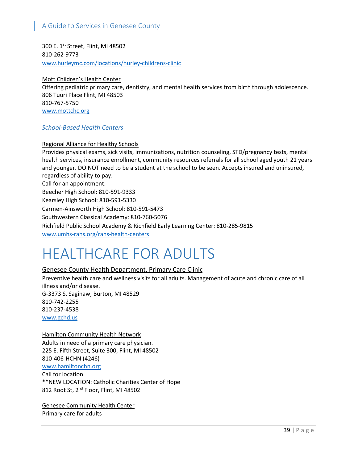300 E. 1st Street, Flint, MI 48502 810-262-9773 www.hurleymc.com/locations/hurley-childrens-clinic

Mott Children's Health Center Offering pediatric primary care, dentistry, and mental health services from birth through adolescence. 806 Tuuri Place Flint, MI 48503 810-767-5750 [www.mottchc.org](http://www.mottchc.org/)

## *School-Based Health Centers*

Regional Alliance for Healthy Schools

Provides physical exams, sick visits, immunizations, nutrition counseling, STD/pregnancy tests, mental health services, insurance enrollment, community resources referrals for all school aged youth 21 years and younger. DO NOT need to be a student at the school to be seen. Accepts insured and uninsured, regardless of ability to pay. Call for an appointment. Beecher High School: 810-591-9333 Kearsley High School: 810-591-5330 Carmen-Ainsworth High School: 810-591-5473 Southwestern Classical Academy: 810-760-5076 Richfield Public School Academy & Richfield Early Learning Center: 810-285-9815 www.umhs-rahs.org/rahs-health-centers

## HEALTHCARE FOR ADULTS

## Genesee County Health Department, Primary Care Clinic

Preventive health care and wellness visits for all adults. Management of acute and chronic care of all illness and/or disease. G-3373 S. Saginaw, Burton, MI 48529 810-742-2255 810-237-4538 [www.gchd.us](http://www.gchd.us/)

#### **Hamilton Community Health Network**

Adults in need of a primary care physician. 225 E. Fifth Street, Suite 300, Flint, MI 48502 810-406-HCHN (4246) [www.hamiltonchn.org](http://www.hamiltonchn.org/) Call for location \*\*NEW LOCATION: Catholic Charities Center of Hope 812 Root St, 2<sup>nd</sup> Floor, Flint, MI 48502

Genesee Community Health Center Primary care for adults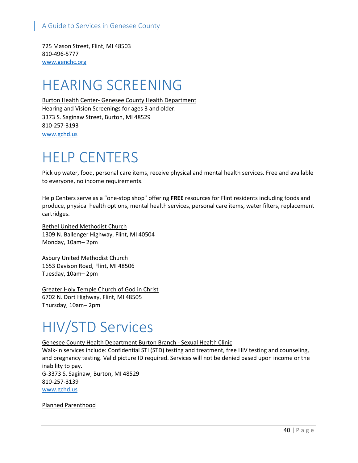725 Mason Street, Flint, MI 48503 810-496-5777 www.genchc.org

# HEARING SCREENING

Burton Health Center- Genesee County Health Department Hearing and Vision Screenings for ages 3 and older. 3373 S. Saginaw Street, Burton, MI 48529 810-257-3193 www.gchd.us

## HELP CENTERS

Pick up water, food, personal care items, receive physical and mental health services. Free and available to everyone, no income requirements.

Help Centers serve as a "one-stop shop" offering **FREE** resources for Flint residents including foods and produce, physical health options, mental health services, personal care items, water filters, replacement cartridges.

Bethel United Methodist Church 1309 N. Ballenger Highway, Flint, MI 40504 Monday, 10am– 2pm

Asbury United Methodist Church 1653 Davison Road, Flint, MI 48506 Tuesday, 10am– 2pm

Greater Holy Temple Church of God in Christ 6702 N. Dort Highway, Flint, MI 48505 Thursday, 10am– 2pm

# HIV/STD Services

Genesee County Health Department Burton Branch - Sexual Health Clinic

Walk-in services include: Confidential STI (STD) testing and treatment, free HIV testing and counseling, and pregnancy testing. Valid picture ID required. Services will not be denied based upon income or the inability to pay. G-3373 S. Saginaw, Burton, MI 48529 810-257-3139 [www.gchd.us](http://www.gchd.us/)

Planned Parenthood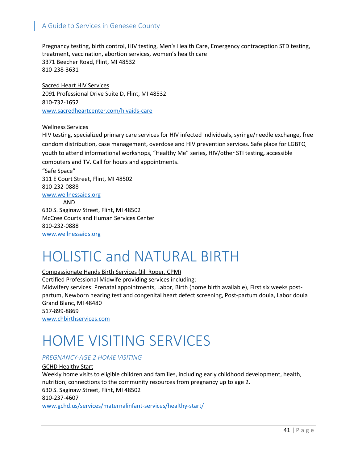Pregnancy testing, birth control, HIV testing, Men's Health Care, Emergency contraception STD testing, treatment, vaccination, abortion services, women's health care 3371 Beecher Road, Flint, MI 48532 810-238-3631

Sacred Heart HIV Services 2091 Professional Drive Suite D, Flint, MI 48532 810-732-1652 www.sacredheartcenter.com/hivaids-care

### Wellness Services

HIV testing, specialized primary care services for HIV infected individuals, syringe/needle exchange, free condom distribution, case management, overdose and HIV prevention services. Safe place for LGBTQ youth to attend informational workshops, "Healthy Me" series**,** HIV/other STI testing**,** accessible computers and TV. Call for hours and appointments.

"Safe Space" 311 E Court Street, Flint, MI 48502 810-232-0888 www[.wellnessaids.org](mailto:questions@wellnessaids.org)

AND 630 S. Saginaw Street, Flint, MI 48502 McCree Courts and Human Services Center 810-232-0888 [www.wellnessaids.org](http://www.wellnessaids.org/)

# HOLISTIC and NATURAL BIRTH

Compassionate Hands Birth Services (Jill Roper, CPM)

Certified Professional Midwife providing services including:

Midwifery services: Prenatal appointments, Labor, Birth (home birth available), First six weeks postpartum, Newborn hearing test and congenital heart defect screening, Post-partum doula, Labor doula Grand Blanc, MI 48480

517-899-8869

[www.chbirthservices.com](http://www.chbirthservices.com/)

# HOME VISITING SERVICES

## *PREGNANCY-AGE 2 HOME VISITING*

GCHD Healthy Start Weekly home visits to eligible children and families, including early childhood development, health, nutrition, connections to the community resources from pregnancy up to age 2. 630 S. Saginaw Street, Flint, MI 48502 810-237-4607 [www.gchd.us/services/maternalinfant-services/healthy-start/](http://www.gchd.us/services/maternalinfant-services/healthy-start/)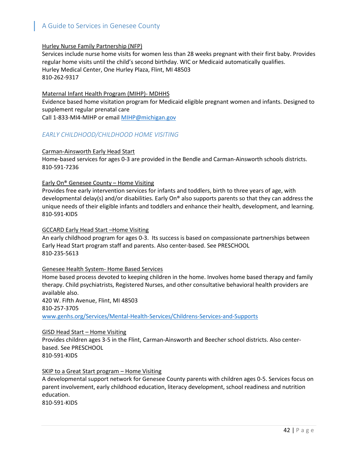### Hurley Nurse Family Partnership (NFP)

Services include nurse home visits for women less than 28 weeks pregnant with their first baby. Provides regular home visits until the child's second birthday. WIC or Medicaid automatically qualifies. Hurley Medical Center, One Hurley Plaza, Flint, MI 48503 810-262-9317

#### Maternal Infant Health Program (MIHP)- MDHHS

Evidence based home visitation program for Medicaid eligible pregnant women and infants. Designed to supplement regular prenatal care

Call 1-833-MI4-MIHP or email [MIHP@michigan.gov](mailto:MIHP@michigan.gov)

## *EARLY CHILDHOOD/CHILDHOOD HOME VISITING*

### Carman-Ainsworth Early Head Start

Home-based services for ages 0-3 are provided in the Bendle and Carman-Ainsworth schools districts. 810-591-7236

### Early On® Genesee County – Home Visiting

Provides free early intervention services for infants and toddlers, birth to three years of age, with developmental delay(s) and/or disabilities. Early On® also supports parents so that they can address the unique needs of their eligible infants and toddlers and enhance their health, development, and learning. 810-591-KIDS

### GCCARD Early Head Start –Home Visiting

An early childhood program for ages 0-3. Its success is based on compassionate partnerships between Early Head Start program staff and parents. Also center-based. See PRESCHOOL 810-235-5613

#### Genesee Health System- Home Based Services

Home based process devoted to keeping children in the home. Involves home based therapy and family therapy. Child psychiatrists, Registered Nurses, and other consultative behavioral health providers are available also.

420 W. Fifth Avenue, Flint, MI 48503 810-257-3705 [www.genhs.org/Services/Mental-Health-Services/Childrens-Services-and-Supports](http://www.genhs.org/Services/Mental-Health-Services/Childrens-Services-and-Supports)

#### GISD Head Start – Home Visiting

Provides children ages 3-5 in the Flint, Carman-Ainsworth and Beecher school districts. Also centerbased. See PRESCHOOL 810-591-KIDS

## [SKIP to a Great Start](https://ccp.geneseeisd.org/cms/One.aspx?portalId=189121&pageId=653915) program – Home Visiting

A developmental support network for Genesee County parents with children ages 0-5. Services focus on parent involvement, early childhood education, literacy development, school readiness and nutrition education.

810-591-KIDS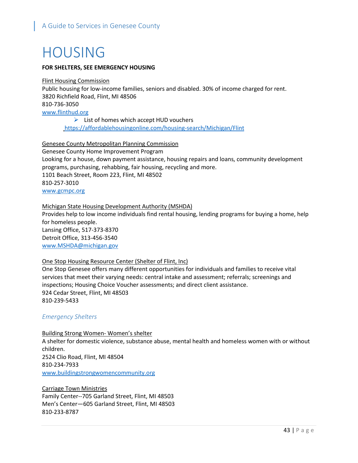# HOUSING

## **FOR SHELTERS, SEE EMERGENCY HOUSING**

Flint Housing Commission Public housing for low-income families, seniors and disabled. 30% of income charged for rent. 3820 Richfield Road, Flint, MI 48506 810-736-3050 [www.flinthud.org](http://www.flinthud.org/)

 $\triangleright$  List of homes which accept HUD vouchers <https://affordablehousingonline.com/housing-search/Michigan/Flint>

Genesee County Metropolitan Planning Commission Genesee County Home Improvement Program Looking for a house, down payment assistance, housing repairs and loans, community development programs, purchasing, rehabbing, fair housing, recycling and more. 1101 Beach Street, Room 223, Flint, MI 48502 810-257-3010

[www.gcmpc.org](http://www.gcmpc.org/)

## Michigan State Housing Development Authority (MSHDA)

Provides help to low income individuals find rental housing, lending programs for buying a home, help for homeless people. Lansing Office, 517-373-8370 Detroit Office, 313-456-3540 [www.MSHDA@michigan.gov](http://www.MSHDA@michigan.gov)

## One Stop Housing Resource Center (Shelter of Flint, Inc)

One Stop Genesee offers many different opportunities for individuals and families to receive vital services that meet their varying needs: central intake and assessment; referrals; screenings and inspections; Housing Choice Voucher assessments; and direct client assistance. 924 Cedar Street, Flint, MI 48503 810-239-5433

## *Emergency Shelters*

Building Strong Women- Women's shelter A shelter for domestic violence, substance abuse, mental health and homeless women with or without children. 2524 Clio Road, Flint, MI 48504 810-234-7933 [www.buildingstrongwomencommunity.org](http://www.buildingstrongwomencommunity.org/)

Carriage Town Ministries Family Center--705 Garland Street, Flint, MI 48503 Men's Center—605 Garland Street, Flint, MI 48503 810-233-8787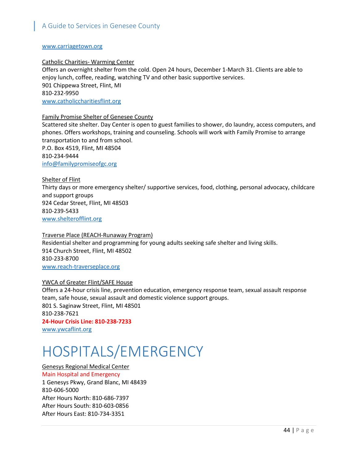#### www.carriagetown.org

#### Catholic Charities- Warming Center

Offers an overnight shelter from the cold. Open 24 hours, December 1-March 31. Clients are able to enjoy lunch, coffee, reading, watching TV and other basic supportive services. 901 Chippewa Street, Flint, MI 810-232-9950 [www.catholiccharitiesflint.org](http://www.catholiccharitiesflint.org/)

### Family Promise Shelter of Genesee County

Scattered site shelter. Day Center is open to guest families to shower, do laundry, access computers, and phones. Offers workshops, training and counseling. Schools will work with Family Promise to arrange transportation to and from school.

P.O. Box 4519, Flint, MI 48504 810-234-9444 [info@familypromiseofgc.org](mailto:info@familypromiseofgc.org)

### Shelter of Flint

Thirty days or more emergency shelter/ supportive services, food, clothing, personal advocacy, childcare and support groups 924 Cedar Street, Flint, MI 48503 810-239-5433 [www.shelterofflint.org](http://www.shelterofflint.org/)

## Traverse Place (REACH-Runaway Program) Residential shelter and programming for young adults seeking safe shelter and living skills. 914 Church Street, Flint, MI 48502 810-233-8700 [www.reach-traverseplace.org](http://www.reach-traverseplace.org/)

#### YWCA of Greater Flint/SAFE House

Offers a 24-hour crisis line, prevention education, emergency response team, sexual assault response team, safe house, sexual assault and domestic violence support groups. 801 S. Saginaw Street, Flint, MI 48501 810-238-7621 **24-Hour Crisis Line: 810-238-7233**

[www.ywcaflint.org](http://www.ywcaflint.org/)

# HOSPITALS/EMERGENCY

Genesys Regional Medical Center Main Hospital and Emergency 1 Genesys Pkwy, Grand Blanc, MI 48439 810-606-5000 After Hours North: 810-686-7397 After Hours South: 810-603-0856 After Hours East: 810-734-3351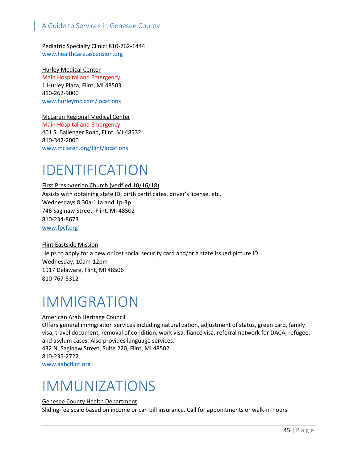Pediatric Specialty Clinic: 810-762-1444 www.healthcare.ascension.org

Hurley Medical Center Main Hospital and Emergency 1 Hurley Plaza, Flint, MI 48503 810-262-9000 www.hurleymc.com/locations

McLaren Regional Medical Center Main Hospital and Emergency 401 S. Ballenger Road, Flint, MI 48532 810-342-2000 www.mclaren.org/flint/locations

## IDENTIFICATION

First Presbyterian Church (verified 10/16/18) Assists with obtaining state ID, birth certificates, driver's license, etc. Wednesdays 8:30a-11a and 1p-3p 746 Saginaw Street, Flint, MI 48502 810-234-8673 www.fpcf.org

Flint Eastside Mission Helps to apply for a new or lost social security card and/or a state issued picture ID Wednesday, 10am-12pm 1917 Delaware, Flint, MI 48506 810-767-5312

## IMMIGRATION

## American Arab Heritage Council

Offers general immigration services including naturalization, adjustment of status, green card, family visa, travel document, removal of condition, work visa, fiancé visa, referral network for DACA, refugee, and asylum cases. Also provides language services. 432 N. Saginaw Street, Suite 220, Flint, MI 48502 810-235-2722 [www.aahcflint.org](http://www.aahcflint.org/)

## IMMUNIZATIONS

#### Genesee County Health Department

Sliding-fee scale based on income or can bill insurance. Call for appointments or walk-in hours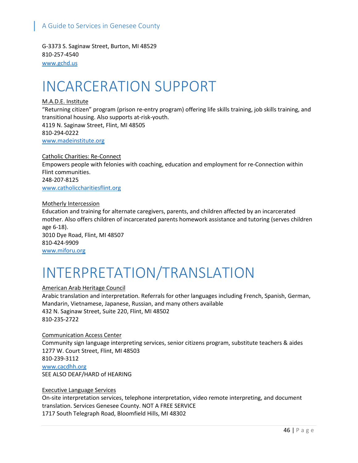G-3373 S. Saginaw Street, Burton, MI 48529 810-257-4540 [www.gchd.us](http://www.gchd.us/)

# INCARCERATION SUPPORT

## M.A.D.E. Institute

"Returning citizen" program (prison re-entry program) offering life skills training, job skills training, and transitional housing. Also supports at-risk-youth. 4119 N. Saginaw Street, Flint, MI 48505 810-294-0222 [www.madeinstitute.org](http://www.madeinstitute.org/)

Catholic Charities: Re-Connect Empowers people with felonies with coaching, education and employment for re-Connection within Flint communities. 248-207-8125 [www.catholiccharitiesflint.org](http://www.catholiccharitiesflint.org/)

Motherly Intercession Education and training for alternate caregivers, parents, and children affected by an incarcerated mother. Also offers children of incarcerated parents homework assistance and tutoring (serves children age 6-18). 3010 Dye Road, Flint, MI 48507 810-424-9909 www.miforu.org

# INTERPRETATION/TRANSLATION

## American Arab Heritage Council

Arabic translation and interpretation. Referrals for other languages including French, Spanish, German, Mandarin, Vietnamese, Japanese, Russian, and many others available 432 N. Saginaw Street, Suite 220, Flint, MI 48502 810-235-2722

#### Communication Access Center

Community sign language interpreting services, senior citizens program, substitute teachers & aides 1277 W. Court Street, Flint, MI 48503 810-239-3112 [www.cacdhh.org](http://www.cacdhh.org/) SEE ALSO DEAF/HARD of HEARING

#### Executive Language Services

On-site interpretation services, telephone interpretation, video remote interpreting, and document translation. Services Genesee County. NOT A FREE SERVICE 1717 South Telegraph Road, Bloomfield Hills, MI 48302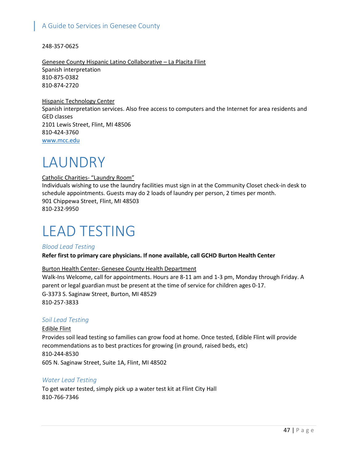248-357-0625

Genesee County Hispanic Latino Collaborative – La Placita Flint Spanish interpretation 810-875-0382 810-874-2720

Hispanic Technology Center Spanish interpretation services. Also free access to computers and the Internet for area residents and GED classes 2101 Lewis Street, Flint, MI 48506 810-424-3760 [www.mcc.edu](http://www.mcc.edu/)

# LAUNDRY

### Catholic Charities- "Laundry Room"

Individuals wishing to use the laundry facilities must sign in at the Community Closet check-in desk to schedule appointments. Guests may do 2 loads of laundry per person, 2 times per month. 901 Chippewa Street, Flint, MI 48503 810-232-9950

# LEAD TESTING

## *Blood Lead Testing*

**Refer first to primary care physicians. If none available, call GCHD Burton Health Center**

## Burton Health Center- Genesee County Health Department

Walk-Ins Welcome, call for appointments. Hours are 8-11 am and 1-3 pm, Monday through Friday. A parent or legal guardian must be present at the time of service for children ages 0-17. G-3373 S. Saginaw Street, Burton, MI 48529 810-257-3833

## *Soil Lead Testing*

Edible Flint Provides soil lead testing so families can grow food at home. Once tested, Edible Flint will provide recommendations as to best practices for growing (in ground, raised beds, etc) 810-244-8530 605 N. Saginaw Street, Suite 1A, Flint, MI 48502

## *Water Lead Testing*

To get water tested, simply pick up a water test kit at Flint City Hall 810-766-7346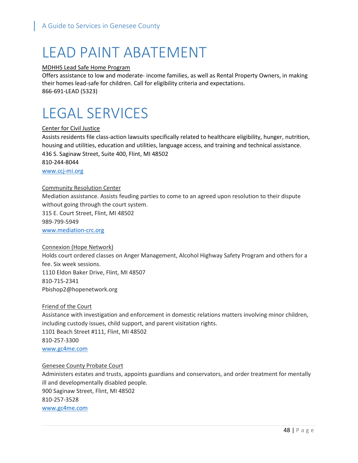# LEAD PAINT ABATEMENT

#### MDHHS Lead Safe Home Program

Offers assistance to low and moderate- income families, as well as Rental Property Owners, in making their homes lead-safe for children. Call for eligibility criteria and expectations. 866-691-LEAD (5323)

# LEGAL SERVICES

## Center for Civil Justice

Assists residents file class-action lawsuits specifically related to healthcare eligibility, hunger, nutrition, housing and utilities, education and utilities, language access, and training and technical assistance. 436 S. Saginaw Street, Suite 400, Flint, MI 48502 810-244-8044

[www.ccj-mi.org](http://www.ccj-mi.org/)

### Community Resolution Center

Mediation assistance. Assists feuding parties to come to an agreed upon resolution to their dispute without going through the court system. 315 E. Court Street, Flint, MI 48502

989-799-5949

www.mediation-crc.org

### Connexion (Hope Network)

Holds court ordered classes on Anger Management, Alcohol Highway Safety Program and others for a fee. Six week sessions. 1110 Eldon Baker Drive, Flint, MI 48507 810-715-2341 Pbishop2@hopenetwork.org

#### Friend of the Court

Assistance with investigation and enforcement in domestic relations matters involving minor children, including custody issues, child support, and parent visitation rights. 1101 Beach Street #111, Flint, MI 48502 810-257-3300 www.gc4me.com

#### Genesee County Probate Court

Administers estates and trusts, appoints guardians and conservators, and order treatment for mentally ill and developmentally disabled people. 900 Saginaw Street, Flint, MI 48502 810-257-3528 www.gc4me.com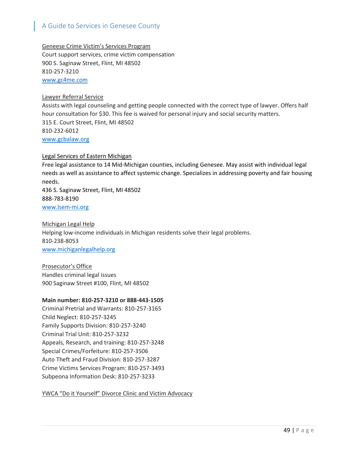Geneese Crime Victim's Services Program Court support services, crime victim compensation 900 S. Saginaw Street, Flint, MI 48502 810-257-3210 www.gc4me.com

### Lawyer Referral Service

Assists with legal counseling and getting people connected with the correct type of lawyer. Offers half hour consultation for \$30. This fee is waived for personal injury and social security matters. 315 E. Court Street, Flint, MI 48502 810-232-6012 www.gcbalaw.org

Legal Services of Eastern Michigan Free legal assistance to 14 Mid-Michigan counties, including Genesee. May assist with individual legal needs as well as assistance to affect systemic change. Specializes in addressing poverty and fair housing needs. 436 S. Saginaw Street, Flint, MI 48502 888-783-8190 www.lsem-mi.org

Michigan Legal Help Helping low-income individuals in Michigan residents solve their legal problems. 810-238-8053 [www.michiganlegalhelp.org](http://www.michiganlegalhelp.org/)

Prosecutor's Office Handles criminal legal issues 900 Saginaw Street #100, Flint, MI 48502

#### **Main number: 810-257-3210 or 888-443-1505**

Criminal Pretrial and Warrants: 810-257-3165 Child Neglect: 810-257-3245 Family Supports Division: 810-257-3240 Criminal Trial Unit: 810-257-3232 Appeals, Research, and training: 810-257-3248 Special Crimes/Forfeiture: 810-257-3506 Auto Theft and Fraud Division: 810-257-3287 Crime Victims Services Program: 810-257-3493 Subpeona Information Desk: 810-257-3233

YWCA "Do it Yourself" Divorce Clinic and Victim Advocacy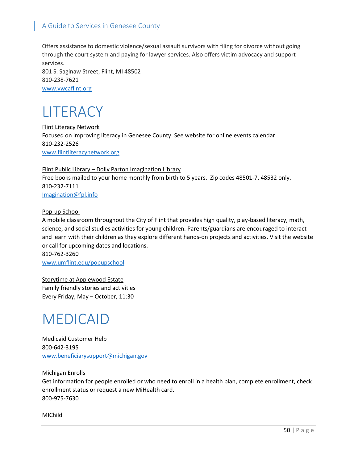Offers assistance to domestic violence/sexual assault survivors with filing for divorce without going through the court system and paying for lawyer services. Also offers victim advocacy and support services.

801 S. Saginaw Street, Flint, MI 48502 810-238-7621 [www.ywcaflint.org](http://www.ywcaflint.org/)

## LITERACY

Flint Literacy Network Focused on improving literacy in Genesee County. See website for online events calendar 810-232-2526 [www.flintliteracynetwork.org](http://www.flintliteracynetwork.org/)

Flint Public Library – Dolly Parton Imagination Library Free books mailed to your home monthly from birth to 5 years. Zip codes 48501-7, 48532 only. 810-232-7111 [Imagination@fpl.info](mailto:Imagination@fpl.info)

## Pop-up School

A mobile classroom throughout the City of Flint that provides high quality, play-based literacy, math, science, and social studies activities for young children. Parents/guardians are encouraged to interact and learn with their children as they explore different hands-on projects and activities. Visit the website or call for upcoming dates and locations.

810-762-3260 [www.umflint.edu/popupschool](http://www.umflint.edu/popupschool)

Storytime at Applewood Estate Family friendly stories and activities Every Friday, May – October, 11:30

## MEDICAID

Medicaid Customer Help 800-642-3195 [www.beneficiarysupport@michigan.gov](http://www.beneficiarysupport@michigan.gov)

Michigan Enrolls Get information for people enrolled or who need to enroll in a health plan, complete enrollment, check enrollment status or request a new MiHealth card. 800-975-7630

#### MIChild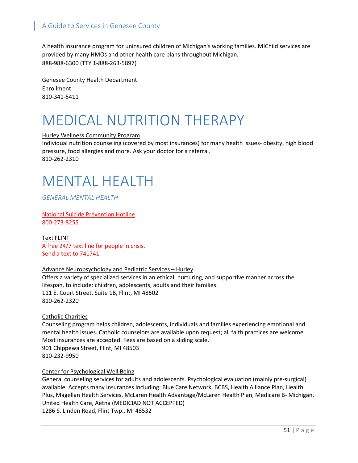A health insurance program for uninsured children of Michigan's working families. MIChild services are provided by many HMOs and other health care plans throughout Michigan. 888-988-6300 (TTY 1-888-263-5897)

Genesee County Health Department Enrollment 810-341-5411

# MEDICAL NUTRITION THERAPY

### Hurley Wellness Community Program

Individual nutrition counseling (covered by most insurances) for many health issues- obesity, high blood pressure, food allergies and more. Ask your doctor for a referral. 810-262-2310

## MENTAL HEALTH

*GENERAL MENTAL HEALTH*

National Suicide Prevention Hotline 800-273-8255

Text FLINT A free 24/7 text line for people in crisis. Send a text to 741741

## Advance Neuropsychology and Pediatric Services – Hurley

Offers a variety of specialized services in an ethical, nurturing, and supportive manner across the lifespan, to include: children, adolescents, adults and their families. 111 E. Court Street, Suite 1B, Flint, MI 48502 810-262-2320

## Catholic Charities

Counseling program helps children, adolescents, individuals and families experiencing emotional and mental health issues. Catholic counselors are available upon request; all faith practices are welcome. Most insurances are accepted. Fees are based on a sliding scale. 901 Chippewa Street, Flint, MI 48503 810-232-9950

## Center for Psychological Well Being

General counseling services for adults and adolescents. Psychological evaluation (mainly pre-surgical) available. Accepts many insurances including: Blue Care Network, BCBS, Health Alliance Plan, Health Plus, Magellan Health Services, McLaren Health Advantage/McLaren Health Plan, Medicare B- Michigan, United Health Care, Aetna (MEDICIAD NOT ACCEPTED) 1286 S. Linden Road, Flint Twp., MI 48532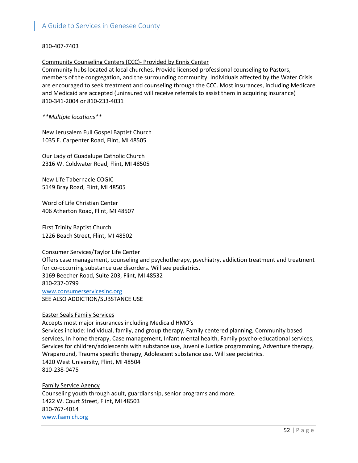### 810-407-7403

#### Community Counseling Centers (CCC)- Provided by Ennis Center

Community hubs located at local churches. Provide licensed professional counseling to Pastors, members of the congregation, and the surrounding community. Individuals affected by the Water Crisis are encouraged to seek treatment and counseling through the CCC. Most insurances, including Medicare and Medicaid are accepted (uninsured will receive referrals to assist them in acquiring insurance) 810-341-2004 or 810-233-4031

### *\*\*Multiple locations\*\**

New Jerusalem Full Gospel Baptist Church 1035 E. Carpenter Road, Flint, MI 48505

Our Lady of Guadalupe Catholic Church 2316 W. Coldwater Road, Flint, MI 48505

New Life Tabernacle COGIC 5149 Bray Road, Flint, MI 48505

Word of Life Christian Center 406 Atherton Road, Flint, MI 48507

First Trinity Baptist Church 1226 Beach Street, Flint, MI 48502

#### Consumer Services/Taylor Life Center

Offers case management, counseling and psychotherapy, psychiatry, addiction treatment and treatment for co-occurring substance use disorders. Will see pediatrics. 3169 Beecher Road, Suite 203, Flint, MI 48532 810-237-0799 www.consumerservicesinc.org SEE ALSO ADDICTION/SUBSTANCE USE

#### Easter Seals Family Services

Accepts most major insurances including Medicaid HMO's

Services include: Individual, family, and group therapy, Family centered planning, Community based services, In home therapy, Case management, Infant mental health, Family psycho-educational services, Services for children/adolescents with substance use, Juvenile Justice programming, Adventure therapy, Wraparound, Trauma specific therapy, Adolescent substance use. Will see pediatrics. 1420 West University, Flint, MI 48504 810-238-0475

Family Service Agency Counseling youth through adult, guardianship, senior programs and more. 1422 W. Court Street, Flint, MI 48503 810-767-4014 [www.fsamich.org](http://www.fsamich.org/)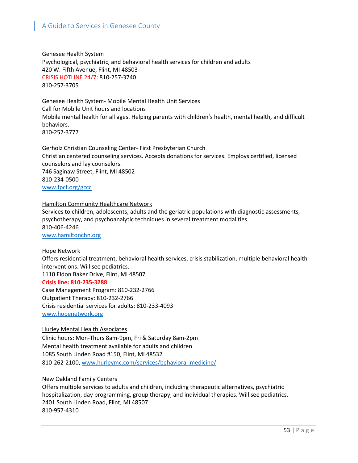Genesee Health System Psychological, psychiatric, and behavioral health services for children and adults 420 W. Fifth Avenue, Flint, MI 48503 CRISIS HOTLINE 24/7: 810-257-3740 810-257-3705

## Genesee Health System- Mobile Mental Health Unit Services

Call for Mobile Unit hours and locations Mobile mental health for all ages. Helping parents with children's health, mental health, and difficult behaviors. 810-257-3777

Gerholz Christian Counseling Center- First Presbyterian Church Christian centered counseling services. Accepts donations for services. Employs certified, licensed counselors and lay counselors. 746 Saginaw Street, Flint, MI 48502 810-234-0500 www.fpcf.org/gccc

## Hamilton Community Healthcare Network

Services to children, adolescents, adults and the geriatric populations with diagnostic assessments, psychotherapy, and psychoanalytic techniques in several treatment modalities. 810-406-4246 [www.hamiltonchn.org](http://www.hamiltonchn.org/)

#### Hope Network

Offers residential treatment, behavioral health services, crisis stabilization, multiple behavioral health interventions. Will see pediatrics.

1110 Eldon Baker Drive, Flint, MI 48507

#### **Crisis line: 810-235-3288**

Case Management Program: 810-232-2766 Outpatient Therapy: 810-232-2766 Crisis residential services for adults: 810-233-4093 www.hopenetwork.org

## Hurley Mental Health Associates

Clinic hours: Mon-Thurs 8am-9pm, Fri & Saturday 8am-2pm Mental health treatment available for adults and children 1085 South Linden Road #150, Flint, MI 48532 810-262-2100[, www.hurleymc.com/services/behavioral-medicine/](http://www.hurleymc.com/services/behavioral-medicine/)

## New Oakland Family Centers

Offers multiple services to adults and children, including therapeutic alternatives, psychiatric hospitalization, day programming, group therapy, and individual therapies. Will see pediatrics. 2401 South Linden Road, Flint, MI 48507 810-957-4310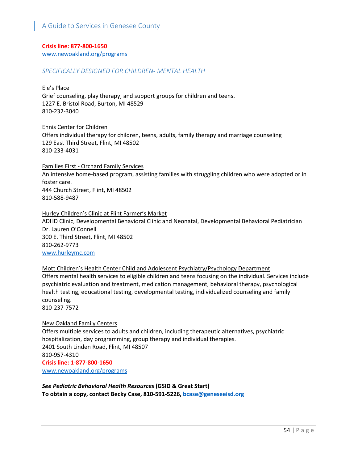## **Crisis line: 877-800-1650**

www[.newoakland.org/programs](http://newoakland.org/programs)

### *SPECIFICALLY DESIGNED FOR CHILDREN- MENTAL HEALTH*

#### Ele's Place

Grief counseling, play therapy, and support groups for children and teens. 1227 E. Bristol Road, Burton, MI 48529 810-232-3040

#### Ennis Center for Children

Offers individual therapy for children, teens, adults, family therapy and marriage counseling 129 East Third Street, Flint, MI 48502 810-233-4031

### Families First - Orchard Family Services

An intensive home-based program, assisting families with struggling children who were adopted or in foster care. 444 Church Street, Flint, MI 48502 810-588-9487

## Hurley Children's Clinic at Flint Farmer's Market ADHD Clinic, Developmental Behavioral Clinic and Neonatal, Developmental Behavioral Pediatrician Dr. Lauren O'Connell 300 E. Third Street, Flint, MI 48502 810-262-9773 [www.hurleymc.com](http://www.hurleymc.com/)

## Mott Children's Health Center Child and Adolescent Psychiatry/Psychology Department

Offers mental health services to [eligible children and teens](http://www.mottchc.org/about-us/eligibility/) focusing on the individual. Services include psychiatric evaluation and treatment, medication management, behavioral therapy, psychological health testing, educational testing, developmental testing, individualized counseling and family counseling.

810-237-7572

#### New Oakland Family Centers

Offers multiple services to adults and children, including therapeutic alternatives, psychiatric hospitalization, day programming, group therapy and individual therapies. 2401 South Linden Road, Flint, MI 48507 810-957-4310 **Crisis line: 1-877-800-1650** www[.newoakland.org/programs](http://newoakland.org/programs)

*See Pediatric Behavioral Health Resources* **(GSID & Great Start) To obtain a copy, contact Becky Case, 810-591-5226, [bcase@geneseeisd.org](mailto:bcase@geneseeisd.org)**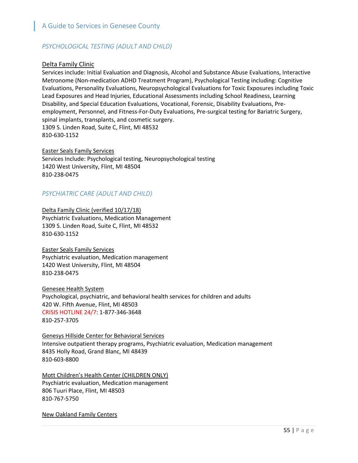## *PSYCHOLOGICAL TESTING (ADULT AND CHILD)*

## Delta Family Clinic

Services include: Initial Evaluation and Diagnosis, Alcohol and Substance Abuse Evaluations, Interactive Metronome (Non-medication ADHD Treatment Program), Psychological Testing including: Cognitive Evaluations, Personality Evaluations, Neuropsychological Evaluations for Toxic Exposures including Toxic Lead Exposures and Head Injuries, Educational Assessments including School Readiness, Learning Disability, and Special Education Evaluations, Vocational, Forensic, Disability Evaluations, Preemployment, Personnel, and Fitness-For-Duty Evaluations, Pre-surgical testing for Bariatric Surgery, spinal implants, transplants, and cosmetic surgery. 1309 S. Linden Road, Suite C, Flint, MI 48532 810-630-1152

### Easter Seals Family Services

Services Include: Psychological testing, Neuropsychological testing 1420 West University, Flint, MI 48504 810-238-0475

## *PSYCHIATRIC CARE (ADULT AND CHILD)*

Delta Family Clinic (verified 10/17/18) Psychiatric Evaluations, Medication Management 1309 S. Linden Road, Suite C, Flint, MI 48532 810-630-1152

Easter Seals Family Services Psychiatric evaluation, Medication management 1420 West University, Flint, MI 48504 810-238-0475

Genesee Health System Psychological, psychiatric, and behavioral health services for children and adults 420 W. Fifth Avenue, Flint, MI 48503 CRISIS HOTLINE 24/7: 1-877-346-3648 810-257-3705

Genesys Hillside Center for Behavioral Services Intensive outpatient therapy programs, Psychiatric evaluation, Medication management 8435 Holly Road, Grand Blanc, MI 48439 810-603-8800

Mott Children's Health Center (CHILDREN ONLY) Psychiatric evaluation, Medication management 806 Tuuri Place, Flint, MI 48503 810-767-5750

New Oakland Family Centers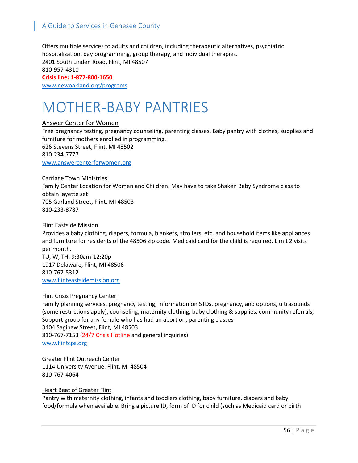Offers multiple services to adults and children, including therapeutic alternatives, psychiatric hospitalization, day programming, group therapy, and individual therapies. 2401 South Linden Road, Flint, MI 48507 810-957-4310 **Crisis line: 1-877-800-1650** [www.newoakland.org/programs](http://www.newoakland.org/programs)

## MOTHER-BABY PANTRIES

### Answer Center for Women

Free pregnancy testing, pregnancy counseling, parenting classes. Baby pantry with clothes, supplies and furniture for mothers enrolled in programming. 626 Stevens Street, Flint, MI 48502 810-234-7777 [www.answercenterforwomen.org](http://www.answercenterforwomen.org/)

#### Carriage Town Ministries

Family Center Location for Women and Children. May have to take Shaken Baby Syndrome class to obtain layette set 705 Garland Street, Flint, MI 48503 810-233-8787

#### Flint Eastside Mission

Provides a baby clothing, diapers, formula, blankets, strollers, etc. and household items like appliances and furniture for residents of the 48506 zip code. Medicaid card for the child is required. Limit 2 visits per month.

TU, W, TH, 9:30am-12:20p 1917 Delaware, Flint, MI 48506 810-767-5312 [www.flinteastsidemission.org](http://www.flinteastsidemission.org/)

#### Flint Crisis Pregnancy Center

Family planning services, pregnancy testing, information on STDs, pregnancy, and options, ultrasounds (some restrictions apply), counseling, maternity clothing, baby clothing & supplies, community referrals, Support group for any female who has had an abortion, parenting classes 3404 Saginaw Street, Flint, MI 48503 810-767-7153 (24/7 Crisis Hotline and general inquiries) [www.flintcps.org](http://www.flintcps.org/)

Greater Flint Outreach Center 1114 University Avenue, Flint, MI 48504 810-767-4064

#### Heart Beat of Greater Flint

Pantry with maternity clothing, infants and toddlers clothing, baby furniture, diapers and baby food/formula when available. Bring a picture ID, form of ID for child (such as Medicaid card or birth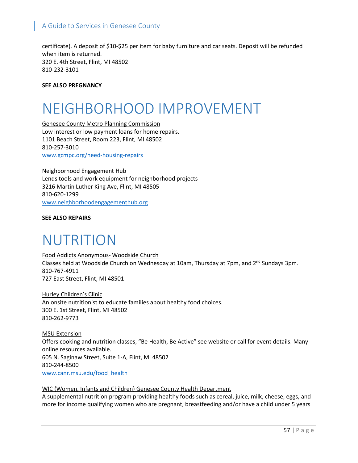certificate). A deposit of \$10-\$25 per item for baby furniture and car seats. Deposit will be refunded when item is returned. 320 E. 4th Street, Flint, MI 48502 810-232-3101

### **SEE ALSO PREGNANCY**

# NEIGHBORHOOD IMPROVEMENT

Genesee County Metro Planning Commission Low interest or low payment loans for home repairs. 1101 Beach Street, Room 223, Flint, MI 48502 810-257-3010 www.gcmpc.org/need-housing-repairs

Neighborhood Engagement Hub Lends tools and work equipment for neighborhood projects 3216 Martin Luther King Ave, Flint, MI 48505 810-620-1299 www.neighborhoodengagementhub.org

**SEE ALSO REPAIRS**

## NUTRITION

Food Addicts Anonymous- Woodside Church Classes held at Woodside Church on Wednesday at 10am, Thursday at 7pm, and 2<sup>nd</sup> Sundays 3pm. 810-767-4911 727 East Street, Flint, MI 48501

Hurley Children's Clinic An onsite nutritionist to educate families about healthy food choices. 300 E. 1st Street, Flint, MI 48502 810-262-9773

MSU Extension Offers cooking and nutrition classes, "Be Health, Be Active" see website or call for event details. Many online resources available. 605 N. Saginaw Street, Suite 1-A, Flint, MI 48502 810-244-8500 www.canr.msu.edu/food\_health

## WIC (Women, Infants and Children) Genesee County Health Department A supplemental nutrition program providing healthy foods such as cereal, juice, milk, cheese, eggs, and more for income qualifying women who are pregnant, breastfeeding and/or have a child under 5 years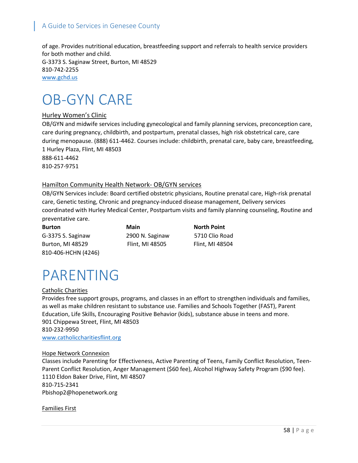of age. Provides nutritional education, breastfeeding support and referrals to health service providers for both mother and child. G-3373 S. Saginaw Street, Burton, MI 48529 810-742-2255 [www.gchd.us](http://www.gchd.us/)

## OB-GYN CARE

## Hurley Women's Clinic

OB/GYN and midwife services including gynecological and family planning services, preconception care, care during pregnancy, childbirth, and postpartum, prenatal classes, high risk obstetrical care, care during menopause. (888) 611-4462. Courses include: childbirth, prenatal care, baby care, breastfeeding, 1 Hurley Plaza, Flint, MI 48503 888-611-4462 810-257-9751

## Hamilton Community Health Network- OB/GYN services

OB/GYN Services include: Board certified obstetric physicians, Routine prenatal care, High-risk prenatal care, Genetic testing, Chronic and pregnancy-induced disease management, Delivery services coordinated with Hurley Medical Center, Postpartum visits and family planning counseling, Routine and preventative care.

**Burton Main North Point** G-3375 S. Saginaw 2900 N. Saginaw 5710 Clio Road Burton, MI 48529 Flint, MI 48505 Flint, MI 48504 810-406-HCHN (4246)

# PARENTING

#### Catholic Charities

Provides free support groups, programs, and classes in an effort to strengthen individuals and families, as well as make children resistant to substance use. Families and Schools Together (FAST), Parent Education, Life Skills, Encouraging Positive Behavior (kids), substance abuse in teens and more. 901 Chippewa Street, Flint, MI 48503 810-232-9950 www.catholiccharitiesflint.org

#### Hope Network Connexion

Classes include Parenting for Effectiveness, Active Parenting of Teens, Family Conflict Resolution, Teen-Parent Conflict Resolution, Anger Management (\$60 fee), Alcohol Highway Safety Program (\$90 fee). 1110 Eldon Baker Drive, Flint, MI 48507 810-715-2341 Pbishop2@hopenetwork.org

Families First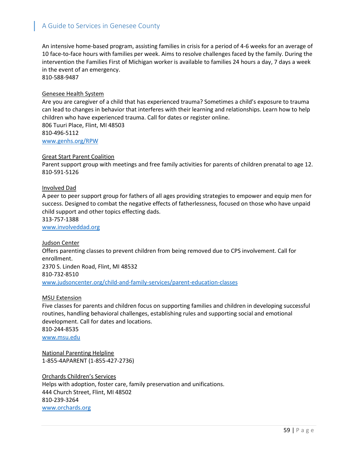An intensive home-based program, assisting families in crisis for a period of 4-6 weeks for an average of 10 face-to-face hours with families per week. Aims to resolve challenges faced by the family. During the intervention the Families First of Michigan worker is available to families 24 hours a day, 7 days a week in the event of an emergency. 810-588-9487

#### Genesee Health System

Are you are caregiver of a child that has experienced trauma? Sometimes a child's exposure to trauma can lead to changes in behavior that interferes with their learning and relationships. Learn how to help children who have experienced trauma. Call for dates or register online. 806 Tuuri Place, Flint, MI 48503 810-496-5112 [www.genhs.org/RPW](http://www.genhs.org/RPW)

#### Great Start Parent Coalition

Parent support group with meetings and free family activities for parents of children prenatal to age 12. 810-591-5126

### Involved Dad

A peer to peer support group for fathers of all ages providing strategies to empower and equip men for success. Designed to combat the negative effects of fatherlessness, focused on those who have unpaid child support and other topics effecting dads.

313-757-1388

www.involveddad.org

Judson Center Offers parenting classes to prevent children from being removed due to CPS involvement. Call for enrollment. 2370 S. Linden Road, Flint, MI 48532 810-732-8510 [www.judsoncenter.org/child-and-family-services/parent-education-classes](http://www.judsoncenter.org/child-and-family-services/parent-education-classes)

#### MSU Extension

Five classes for parents and children focus on supporting families and children in developing successful routines, handling behavioral challenges, establishing rules and supporting social and emotional development. Call for dates and locations. 810-244-8535 [www.msu.edu](http://www.msu.edu/)

National Parenting Helpline 1-855-4APARENT (1-855-427-2736)

Orchards Children's Services Helps with adoption, foster care, family preservation and unifications. 444 Church Street, Flint, MI 48502 810-239-3264 [www.orchards.org](http://www.orchards.org/)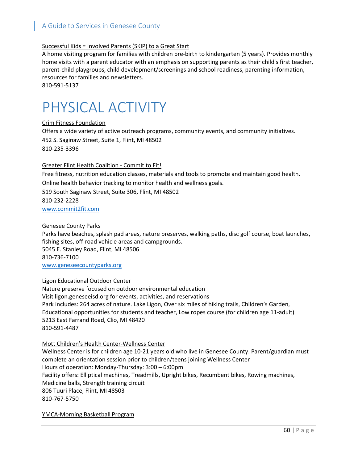## Successful Kids = Involved Parents (SKIP) to a Great Start

A home visiting program for families with children pre-birth to kindergarten (5 years). Provides monthly home visits with a parent educator with an emphasis on supporting parents as their child's first teacher, parent-child playgroups, child development/screenings and school readiness, parenting information, resources for families and newsletters. 810-591-5137

## PHYSICAL ACTIVITY

Crim Fitness Foundation

Offers a wide variety of active outreach programs, community events, and community initiatives. 452 S. Saginaw Street, Suite 1, Flint, MI 48502 810-235-3396

### Greater Flint Health Coalition - Commit to Fit!

Free fitness, nutrition education classes, materials and tools to promote and maintain good health. Online health behavior tracking to monitor health and wellness goals.

519 South Saginaw Street, Suite 306, Flint, MI 48502 810-232-2228

[www.commit2fit.com](http://www.commit2fit.com/)

## Genesee County Parks

Parks have beaches, splash pad areas, nature preserves, walking paths, disc golf course, boat launches, fishing sites, off-road vehicle areas and campgrounds. 5045 E. Stanley Road, Flint, MI 48506 810-736-7100 [www.geneseecountyparks.org](http://www.geneseecountyparks.org/)

## Ligon Educational Outdoor Center

Nature preserve focused on outdoor environmental education Visit ligon.geneseeisd.org for events, activities, and reservations Park includes: 264 acres of nature. Lake Ligon, Over six miles of hiking trails, Children's Garden, Educational opportunities for students and teacher, Low ropes course (for children age 11-adult) 5213 East Farrand Road, Clio, MI 48420 810-591-4487

## Mott Children's Health Center-Wellness Center

Wellness Center is for children age 10-21 years old who live in Genesee County. Parent/guardian must complete an orientation session prior to children/teens joining Wellness Center Hours of operation: Monday-Thursday: 3:00 – 6:00pm Facility offers: Elliptical machines, Treadmills, Upright bikes, Recumbent bikes, Rowing machines, Medicine balls, Strength training circuit 806 Tuuri Place, Flint, MI 48503 810-767-5750

YMCA-Morning Basketball Program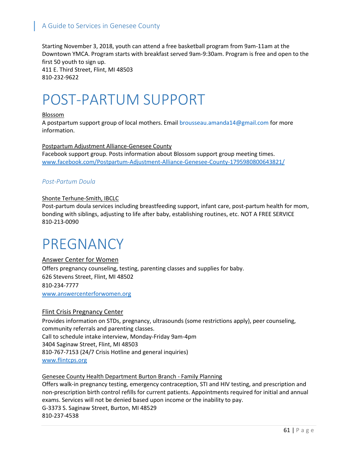Starting November 3, 2018, youth can attend a free basketball program from 9am-11am at the Downtown YMCA. Program starts with breakfast served 9am-9:30am. Program is free and open to the first 50 youth to sign up. 411 E. Third Street, Flint, MI 48503 810-232-9622

## POST-PARTUM SUPPORT

#### Blossom

A postpartum support group of local mothers. Email [brousseau.amanda14@gmail.com](mailto:brousseau.amanda14@gmail.com) for more information.

Postpartum Adjustment Alliance-Genesee County Facebook support group. Posts information about Blossom support group meeting times. www.facebook.com/Postpartum-Adjustment-Alliance-Genesee-County-1795980800643821/

## *Post-Partum Doula*

### Shonte Terhune-Smith, IBCLC

Post-partum doula services including breastfeeding support, infant care, post-partum health for mom, bonding with siblings, adjusting to life after baby, establishing routines, etc. NOT A FREE SERVICE 810-213-0090

## PREGNANCY

Answer Center for Women Offers pregnancy counseling, testing, parenting classes and supplies for baby. 626 Stevens Street, Flint, MI 48502 810-234-7777 [www.answercenterforwomen.org](http://www.answercenterforwomen.org/)

## Flint Crisis Pregnancy Center

Provides information on STDs, pregnancy, ultrasounds (some restrictions apply), peer counseling, community referrals and parenting classes. Call to schedule intake interview, Monday-Friday 9am-4pm 3404 Saginaw Street, Flint, MI 48503 810-767-7153 (24/7 Crisis Hotline and general inquiries) [www.flintcps.org](http://www.flintcps.org/)

## Genesee County Health Department Burton Branch - Family Planning

Offers walk-in pregnancy testing, emergency contraception, STI and HIV testing, and prescription and non-prescription birth control refills for current patients. Appointments required for initial and annual exams. Services will not be denied based upon income or the inability to pay. G-3373 S. Saginaw Street, Burton, MI 48529 810-237-4538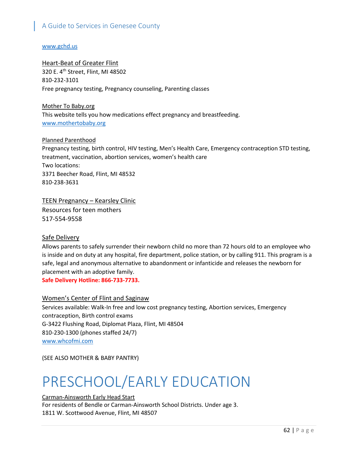### [www.gchd.us](http://www.gchd.us/)

## **Heart-Beat of Greater Flint**

320 E. 4th Street, Flint, MI 48502 810-232-3101 Free pregnancy testing, Pregnancy counseling, Parenting classes

Mother To Baby.org This website tells you how medications effect pregnancy and breastfeeding. [www.mothertobaby.org](http://www.mothertobaby.org/)

#### Planned Parenthood

Pregnancy testing, birth control, HIV testing, Men's Health Care, Emergency contraception STD testing, treatment, vaccination, abortion services, women's health care Two locations: 3371 Beecher Road, Flint, MI 48532 810-238-3631

## TEEN Pregnancy – Kearsley Clinic

Resources for teen mothers 517-554-9558

## Safe Delivery

Allows parents to safely surrender their newborn child no more than 72 hours old to an employee who is inside and on duty at any hospital, fire department, police station, or by calling 911. This program is a safe, legal and anonymous alternative to abandonment or infanticide and releases the newborn for placement with an adoptive family.

**Safe Delivery Hotline: 866-733-7733.**

## Women's Center of Flint and Saginaw

Services available: Walk-In free and low cost pregnancy testing, Abortion services, Emergency contraception, Birth control exams G-3422 Flushing Road, Diplomat Plaza, Flint, MI 48504 810-230-1300 (phones staffed 24/7) [www.whcofmi.com](http://www.whcofmi.com/)

(SEE ALSO MOTHER & BABY PANTRY)

# PRESCHOOL/EARLY EDUCATION

## Carman-Ainsworth Early Head Start

For residents of Bendle or Carman-Ainsworth School Districts. Under age 3. 1811 W. Scottwood Avenue, Flint, MI 48507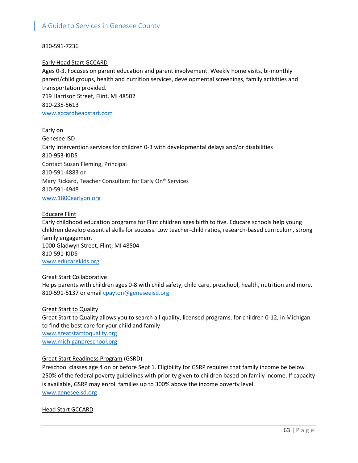## 810-591-7236

### Early Head Start GCCARD

Ages 0-3. Focuses on parent education and parent involvement. Weekly home visits, bi-monthly parent/child groups, health and nutrition services, developmental screenings, family activities and transportation provided. 719 Harrison Street, Flint, MI 48502 810-235-5613 [www.gccardheadstart.com](http://www.gccardheadstart.com/)

Early on Genesee ISD Early intervention services for children 0-3 with developmental delays and/or disabilities 810-953-KIDS Contact Susan Fleming, Principal 810-591-4883 or Mary Rickard, Teacher Consultant for Early On® Services 810-591-4948 [www.1800earlyon.org](http://www.1800earlyon.org/)

#### Educare Flint

Early childhood education programs for Flint children ages birth to five. Educare schools help young children develop essential skills for success. Low teacher-child ratios, research-based curriculum, strong family engagement 1000 Gladwyn Street, Flint, MI 48504 810-591-KIDS [www.educarekids.org](http://www.educarekids.org/)

### Great Start Collaborative

Helps parents with children ages 0-8 with child safety, child care, preschool, health, nutrition and more. 810-591-5137 or email [cpayton@geneseeisd.org](mailto:cpayton@geneseeisd.org)

#### Great Start to Quality

Great Start to Quality allows you to search all quality, licensed programs, for children 0-12, in Michigan to find the best care for your child and family [www.greatstarttoquality.org](http://www.greatstarttoquality.org/) [www.michiganpreschool.org](http://www.michiganpreschool.org/)

## Great Start Readiness Program (GSRD)

Preschool classes age 4 on or before Sept 1. Eligibility for GSRP requires that family income be below 250% of the federal poverty guidelines with priority given to children based on family income. If capacity is available, GSRP may enroll families up to 300% above the income poverty level. [www.geneseeisd.org](http://www.geneseeisd.org/)

Head Start GCCARD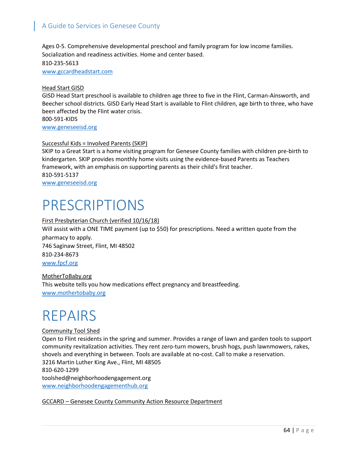Ages 0-5. Comprehensive developmental preschool and family program for low income families. Socialization and readiness activities. Home and center based. 810-235-5613 [www.gccardheadstart.com](http://www.gccardheadstart.com/)

#### Head Start GISD

GISD Head Start preschool is available to children age three to five in the Flint, Carman-Ainsworth, and Beecher school districts. GISD Early Head Start is available to Flint children, age birth to three, who have been affected by the Flint water crisis.

800-591-KIDS [www.geneseeisd.org](http://www.geneseeisd.org/)

### Successful Kids = Involved Parents (SKIP)

SKIP to a Great Start is a home visiting program for Genesee County families with children pre-birth to kindergarten. SKIP provides monthly home visits using the evidence-based Parents as Teachers framework, with an emphasis on supporting parents as their child's first teacher. 810-591-5137 [www.geneseeisd.org](http://www.geneseeisd.org/)

## PRESCRIPTIONS

### First Presbyterian Church (verified 10/16/18)

Will assist with a ONE TIME payment (up to \$50) for prescriptions. Need a written quote from the pharmacy to apply.

746 Saginaw Street, Flint, MI 48502 810-234-8673 www.fpcf.org

MotherToBaby.org This website tells you how medications effect pregnancy and breastfeeding. [www.mothertobaby.org](http://www.mothertobaby.org/)

## REPAIRS

#### Community Tool Shed

Open to Flint residents in the spring and summer. Provides a range of lawn and garden tools to support community revitalization activities. They rent zero-turn mowers, brush hogs, push lawnmowers, rakes, shovels and everything in between. Tools are available at no-cost. Call to make a reservation. 3216 Martin Luther King Ave., Flint, MI 48505 810-620-1299 [toolshed@neighborhoodengagement.org](mailto:toolshed@neighborhoodengagement.org) [www.neighborhoodengagementhub.org](http://www.neighborhoodengagementhub.org/)

GCCARD – Genesee County Community Action Resource Department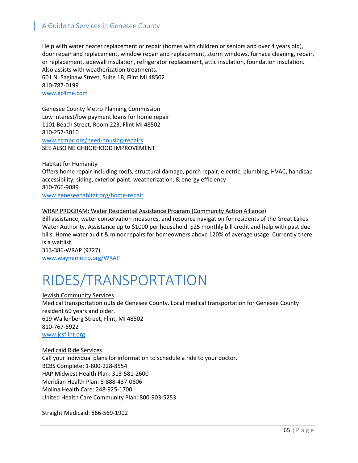Help with water heater replacement or repair (homes with children or seniors and over 4 years old), door repair and replacement, window repair and replacement, storm windows, furnace cleaning, repair, or replacement, sidewall insulation, refrigerator replacement, attic insulation, foundation insulation. Also assists with weatherization treatments.

601 N. Saginaw Street, Suite 1B, Flint MI 48502 810-787-0199 [www.gc4me.com](http://www.gc4me.com/)

Genesee County Metro Planning Commission Low interest/low payment loans for home repair 1101 Beach Street, Room 223, Flint MI 48502 810-257-3010 www.gcmpc.org/need-housing-repairs SEE ALSO NEIGHBORHOOD IMPROVEMENT

Habitat for Humanity

Offers home repair including roofs, structural damage, porch repair, electric, plumbing, HVAC, handicap accessibility, siding, exterior paint, weatherization, & energy efficiency 810-766-9089 www.geneseehabitat.org/home-repair

## WRAP PROGRAM: Water Residential Assistance Program (Community Action Alliance)

Bill assistance, water conservation measures, and resource navigation for residents of the Great Lakes Water Authority. Assistance up to \$1000 per household. \$25 monthly bill credit and help with past due bills. Home water audit & minor repairs for homeowners above 120% of average usage. Currently there is a waitlist.

313-386-WRAP (9727) [www.waynemetro.org/WRAP](http://www.waynemetro.org/WRAP)

# RIDES/TRANSPORTATION

#### Jewish Community Services

Medical transportation outside Genesee County. Local medical transportation for Genesee County resident 60 years and older. 619 Wallenberg Street, Flint, MI 48502 810-767-5922 [www.jcsflint.org](http://www.jcsflint.org/)

#### Medicaid Ride Services

Call your individual plans for information to schedule a ride to your doctor. BCBS Complete: 1-800-228-8554 HAP Midwest Health Plan: 313-581-2600 Meridian Health Plan: 8-888-437-0606 Molina Health Care: 248-925-1700 United Health Care Community Plan: 800-903-5253

Straight Medicaid: 866-569-1902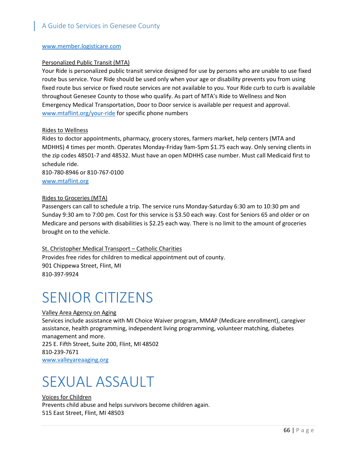### [www.member.logisticare.com](http://www.member.logisticare.com/)

### Personalized Public Transit (MTA)

Your Ride is personalized public transit service designed for use by persons who are unable to use fixed route bus service. Your Ride should be used only when your age or disability prevents you from using fixed route bus service or fixed route services are not available to you. Your Ride curb to curb is available throughout Genesee County to those who qualify. As part of MTA's Ride to Wellness and Non Emergency Medical Transportation, Door to Door service is available per request and approval. [www.mtaflint.org/your-ride](http://www.mtaflint.org/your-ride) for specific phone numbers

### Rides to Wellness

Rides to doctor appointments, pharmacy, grocery stores, farmers market, help centers (MTA and MDHHS) 4 times per month. Operates Monday-Friday 9am-5pm \$1.75 each way. Only serving clients in the zip codes 48501-7 and 48532. Must have an open MDHHS case number. Must call Medicaid first to schedule ride.

810-780-8946 or 810-767-0100 [www.mtaflint.org](http://www.mtaflint.org/)

## Rides to Groceries (MTA)

Passengers can call to schedule a trip. The service runs Monday-Saturday 6:30 am to 10:30 pm and Sunday 9:30 am to 7:00 pm. Cost for this service is \$3.50 each way. Cost for Seniors 65 and older or on Medicare and persons with disabilities is \$2.25 each way. There is no limit to the amount of groceries brought on to the vehicle.

## St. Christopher Medical Transport – Catholic Charities

Provides free rides for children to medical appointment out of county. 901 Chippewa Street, Flint, MI 810-397-9924

## SENIOR CITIZENS

## Valley Area Agency on Aging

Services include assistance with MI Choice Waiver program, MMAP (Medicare enrollment), caregiver assistance, health programming, independent living programming, volunteer matching, diabetes management and more. 225 E. Fifth Street, Suite 200, Flint, MI 48502 810-239-7671

www.valleyareaaging.org

## SEXUAL ASSAULT

## Voices for Children

Prevents child abuse and helps survivors become children again. 515 East Street, Flint, MI 48503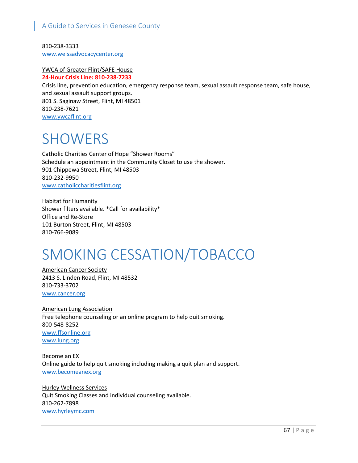810-238-3333 [www.weissadvocacycenter.org](http://www.weissadvocacycenter.org/)

#### YWCA of Greater Flint/SAFE House **24-Hour Crisis Line: 810-238-7233**

Crisis line, prevention education, emergency response team, sexual assault response team, safe house, and sexual assault support groups. 801 S. Saginaw Street, Flint, MI 48501 810-238-7621 [www.ywcaflint.org](http://www.ywcaflint.org/)

## **SHOWERS**

Catholic Charities Center of Hope "Shower Rooms" Schedule an appointment in the Community Closet to use the shower. 901 Chippewa Street, Flint, MI 48503 810-232-9950 [www.catholiccharitiesflint.org](http://www.catholiccharitiesflint.org/)

Habitat for Humanity Shower filters available. \*Call for availability\* Office and Re-Store 101 Burton Street, Flint, MI 48503 810-766-9089

# SMOKING CESSATION/TOBACCO

American Cancer Society 2413 S. Linden Road, Flint, MI 48532 810-733-3702 [www.cancer.org](http://www.cancer.org/)

American Lung Association Free telephone counseling or an online program to help quit smoking. 800-548-8252 [www.ffsonline.org](http://www.ffsonline.org/) [www.lung.org](http://www.lung.org/)

Become an EX Online guide to help quit smoking including making a quit plan and support. [www.becomeanex.org](http://www.becomeanex.org/)

Hurley Wellness Services Quit Smoking Classes and individual counseling available. 810-262-7898 [www.hyrleymc.com](http://www.hyrleymc.com/)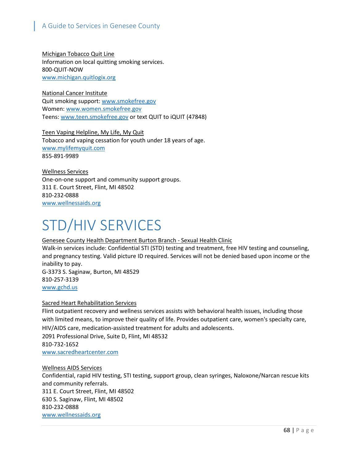Michigan Tobacco Quit Line Information on local quitting smoking services. 800-QUIT-NOW [www.michigan.quitlogix.org](http://www.michigan.quitlogix.org/)

National Cancer Institute Quit smoking support: [www.smokefree.gov](http://www.smokefree.gov/) Women: [www.women.smokefree.gov](http://www.women.smokefree.gov/) Teens: [www.teen.smokefree.gov](http://www.teen.smokefree.gov/) or text QUIT to iQUIT (47848)

Teen Vaping Helpline, My Life, My Quit Tobacco and vaping cessation for youth under 18 years of age. [www.mylifemyquit.com](http://www.mylifemyquit.com/) 855-891-9989

Wellness Services One-on-one support and community support groups. 311 E. Court Street, Flint, MI 48502 810-232-0888 [www.wellnessaids.org](http://www.wellnessaids.org/)

# STD/HIV SERVICES

## Genesee County Health Department Burton Branch - Sexual Health Clinic

Walk-in services include: Confidential STI (STD) testing and treatment, free HIV testing and counseling, and pregnancy testing. Valid picture ID required. Services will not be denied based upon income or the inability to pay. G-3373 S. Saginaw, Burton, MI 48529 810-257-3139

[www.gchd.us](http://www.gchd.us/)

## Sacred Heart Rehabilitation Services

Flint outpatient recovery and wellness services assists with behavioral health issues, including those with limited means, to improve their quality of life. Provides [outpatient](http://sacredheartcenter.com/outpatient.html) care[, women's specialty](http://sacredheartcenter.com/womens-specialty.html) care, [HIV/AIDS care,](http://sacredheartcenter.com/hivaids-care.html) [medication-assisted](http://sacredheartcenter.com/medication-assisted-treatment.html) treatment for adults and adolescents. 2091 Professional Drive, Suite D, Flint, MI 48532 810-732-1652 [www.sacredheartcenter.com](http://www.sacredheartcenter.com/)

Wellness AIDS Services

Confidential, rapid HIV testing, STI testing, support group, clean syringes, Naloxone/Narcan rescue kits and community referrals. 311 E. Court Street, Flint, MI 48502 630 S. Saginaw, Flint, MI 48502 810-232-0888 [www.wellnessaids.org](http://www.wellnessaids.org/)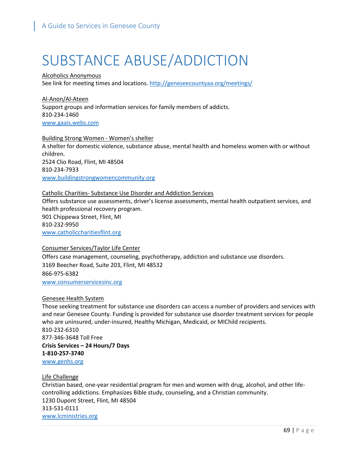# SUBSTANCE ABUSE/ADDICTION

Alcoholics Anonymous See link for meeting times and locations.<http://geneseecountyaa.org/meetings/>

Al-Anon/Al-Ateen Support groups and information services for family members of addicts. 810-234-1460 [www.gaais.webs.com](http://www.gaais.webs.com/)

Building Strong Women - Women's shelter

A shelter for domestic violence, substance abuse, mental health and homeless women with or without children. 2524 Clio Road, Flint, MI 48504 810-234-7933 [www.buildingstrongwomencommunity.org](http://www.buildingstrongwomencommunity.org/)

#### Catholic Charities- Substance Use Disorder and Addiction Services

Offers substance use assessments, driver's license assessments, mental health outpatient services, and health professional recovery program. 901 Chippewa Street, Flint, MI 810-232-9950 [www.catholiccharitiesflint.org](http://www.catholiccharitiesflint.org/)

#### Consumer Services/Taylor Life Center

Offers case management, counseling, psychotherapy, addiction and substance use disorders. 3169 Beecher Road, Suite 203, Flint, MI 48532 866-975-6382 [www.consumerservicesinc.org](http://www.consumerservicesinc.org/)

#### Genesee Health System

Those seeking treatment for substance use disorders can access a number of providers and services with and near Genesee County. Funding is provided for substance use disorder treatment services for people who are uninsured, under-insured, Healthy Michigan, Medicaid, or MIChild recipients. 810-232-6310 877-346-3648 Toll Free **Crisis Services – 24 Hours/7 Days 1-810-257-3740** [www.genhs.org](http://www.genhs.org/)

#### Life Challenge

Christian based, one-year residential program for men and women with drug, alcohol, and other lifecontrolling addictions. Emphasizes Bible study, counseling, and a Christian community. 1230 Dupont Street, Flint, MI 48504 313-531-0111 [www.lcministries.org](http://www.lcministries.org/)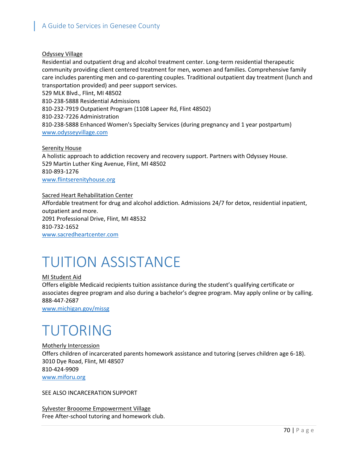## Odyssey Village

Residential and outpatient drug and alcohol treatment center. Long-term residential therapeutic community providing client centered treatment for men, women and families. Comprehensive family care includes parenting men and co-parenting couples. Traditional outpatient day treatment (lunch and transportation provided) and peer support services. 529 MLK Blvd., Flint, MI 48502 810-238-5888 Residential Admissions

810-232-7919 Outpatient Program (1108 Lapeer Rd, Flint 48502)

810-232-7226 Administration

810-238-5888 Enhanced Women's Specialty Services (during pregnancy and 1 year postpartum) www.odysseyvillage.com

Serenity House

A holistic approach to addiction recovery and recovery support. Partners with Odyssey House. 529 Martin Luther King Avenue, Flint, MI 48502 810-893-1276 [www.flintserenityhouse.org](http://www.flintserenityhouse.org/)

Sacred Heart Rehabilitation Center

Affordable treatment for drug and alcohol addiction. Admissions 24/7 for detox, residential inpatient, outpatient and more. 2091 Professional Drive, Flint, MI 48532 810-732-1652 [www.sacredheartcenter.com](http://www.sacredheartcenter.com/)

# TUITION ASSISTANCE

### MI Student Aid

Offers eligible Medicaid recipients tuition assistance during the student's qualifying certificate or associates degree program and also during a bachelor's degree program. May apply online or by calling. 888-447-2687

[www.michigan.gov/missg](http://www.michigan.gov/missg)

# TUTORING

Motherly Intercession Offers children of incarcerated parents homework assistance and tutoring (serves children age 6-18). 3010 Dye Road, Flint, MI 48507 810-424-9909 www.miforu.org

SEE ALSO INCARCERATION SUPPORT

Sylvester Brooome Empowerment Village Free After-school tutoring and homework club.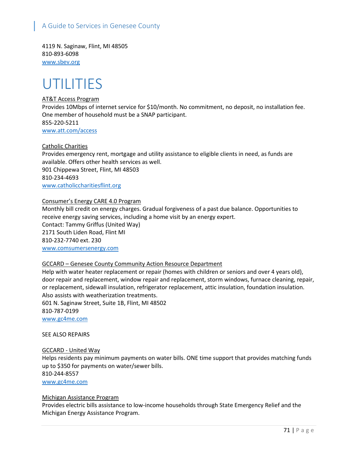4119 N. Saginaw, Flint, MI 48505 810-893-6098 [www.sbev.org](http://www.sbev.org/)

## UTILITIES

## AT&T Access Program

Provides 10Mbps of internet service for \$10/month. No commitment, no deposit, no installation fee. One member of household must be a SNAP participant. 855-220-5211 [www.att.com/access](http://www.att.com/access)

Catholic Charities

Provides emergency rent, mortgage and utility assistance to eligible clients in need, as funds are available. Offers other health services as well. 901 Chippewa Street, Flint, MI 48503 810-234-4693 [www.catholiccharitiesflint.org](http://www.catholiccharitiesflint.org/)

### Consumer's Energy CARE 4.0 Program

Monthly bill credit on energy charges. Gradual forgiveness of a past due balance. Opportunities to receive energy saving services, including a home visit by an energy expert. Contact: Tammy Griffus (United Way) 2171 South Liden Road, Flint MI 810-232-7740 ext. 230 [www.comsumersenergy.com](http://www.comsumersenergy.com/)

#### GCCARD – Genesee County Community Action Resource Department

Help with water heater replacement or repair (homes with children or seniors and over 4 years old), door repair and replacement, window repair and replacement, storm windows, furnace cleaning, repair, or replacement, sidewall insulation, refrigerator replacement, attic insulation, foundation insulation. Also assists with weatherization treatments.

601 N. Saginaw Street, Suite 1B, Flint, MI 48502 810-787-0199 [www.gc4me.com](http://www.gc4me.com/)

#### SEE ALSO REPAIRS

#### GCCARD - United Way

Helps residents pay minimum payments on water bills. ONE time support that provides matching funds up to \$350 for payments on water/sewer bills. 810-244-8557 [www.gc4me.com](http://www.gc4me.com/)

#### Michigan Assistance Program

Provides electric bills assistance to low-income households through State Emergency Relief and the Michigan Energy Assistance Program.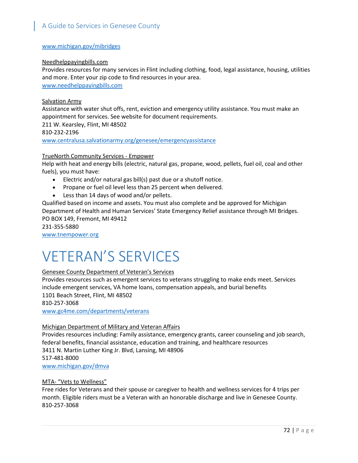#### [www.michigan.gov/mibridges](http://links.govdelivery.com/track?type=click&enid=ZWFzPTEmbWFpbGluZ2lkPTIwMTgwOTI3Ljk1NDY0NTkxJm1lc3NhZ2VpZD1NREItUFJELUJVTC0yMDE4MDkyNy45NTQ2NDU5MSZkYXRhYmFzZWlkPTEwMDEmc2VyaWFsPTE3NTUwNTE2JmVtYWlsaWQ9bHJvc2VuYmVyZ0BnY2hkLnVzJnVzZXJpZD1scm9zZW5iZXJnQGdjaGQudXMmZmw9JmV4dHJhPU11bHRpdmFyaWF0ZUlkPSYmJg==&&&100&&&http://www.michigan.gov/mibridges)

#### Needhelppayingbills.com

Provides resources for many services in Flint including clothing, food, legal assistance, housing, utilities and more. Enter your zip code to find resources in your area. [www.needhelppayingbills.com](http://www.needhelppayingbills.com/)

#### Salvation Army

Assistance with water shut offs, rent, eviction and emergency utility assistance. You must make an appointment for services. See website for document requirements. 211 W. Kearsley, Flint, MI 48502 810-232-2196 [www.centralusa.salvationarmy.org/genesee/emergencyassistance](http://www.centralusa.salvationarmy.org/genesee/emergencyassistance)

#### TrueNorth Community Services - Empower

Help with heat and energy bills (electric, natural gas, propane, wood, pellets, fuel oil, coal and other fuels), you must have:

- Electric and/or natural gas bill(s) past due or a shutoff notice.
- Propane or fuel oil level less than 25 percent when delivered.
- Less than 14 days of wood and/or pellets.

Qualified based on income and assets. You must also complete and be approved for Michigan Department of Health and Human Services' State Emergency Relief assistance through MI Bridges. PO BOX 149, Fremont, MI 49412

231-355-5880

[www.tnempower.org](http://www.tnempower.org/)

# VETERAN'S SERVICES

#### Genesee County Department of Veteran's Services

Provides resources such as emergent services to veterans struggling to make ends meet. Services include emergent services, VA home loans, compensation appeals, and burial benefits 1101 Beach Street, Flint, MI 48502 810-257-3068

[www.gc4me.com/departments/veterans](http://www.gc4me.com/departments/veterans)

#### Michigan Department of Military and Veteran Affairs

Provides resources including: Family assistance, emergency grants, career counseling and job search, federal benefits, financial assistance, education and training, and healthcare resources 3411 N. Martin Luther King Jr. Blvd, Lansing, MI 48906 517-481-8000

### [www.michigan.gov/dmva](http://www.michigan.gov/dmva)

#### MTA- "Vets to Wellness"

Free rides for Veterans and their spouse or caregiver to health and wellness services for 4 trips per month. Eligible riders must be a Veteran with an honorable discharge and live in Genesee County. 810-257-3068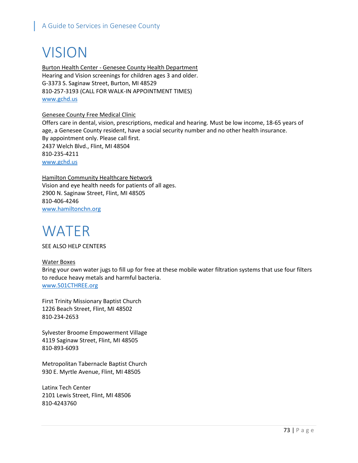# VISION

Burton Health Center - Genesee County Health Department Hearing and Vision screenings for children ages 3 and older. G-3373 S. Saginaw Street, Burton, MI 48529 810-257-3193 (CALL FOR WALK-IN APPOINTMENT TIMES) [www.gchd.us](http://www.gchd.us/)

#### Genesee County Free Medical Clinic

Offers care in dental, vision, prescriptions, medical and hearing. Must be low income, 18-65 years of age, a Genesee County resident, have a social security number and no other health insurance. By appointment only. Please call first. 2437 Welch Blvd., Flint, MI 48504 810-235-4211 [www.gchd.us](http://www.gchd.us/)

Hamilton Community Healthcare Network Vision and eye health needs for patients of all ages. 2900 N. Saginaw Street, Flint, MI 48505 810-406-4246 [www.hamiltonchn.org](http://www.hamiltonchn.org/)

# WATER

SEE ALSO HELP CENTERS

Water Boxes Bring your own water jugs to fill up for free at these mobile water filtration systems that use four filters to reduce heavy metals and harmful bacteria. [www.501CTHREE.org](http://www.501cthree.org/)

First Trinity Missionary Baptist Church 1226 Beach Street, Flint, MI 48502 810-234-2653

Sylvester Broome Empowerment Village 4119 Saginaw Street, Flint, MI 48505 810-893-6093

Metropolitan Tabernacle Baptist Church 930 E. Myrtle Avenue, Flint, MI 48505

Latinx Tech Center 2101 Lewis Street, Flint, MI 48506 810-4243760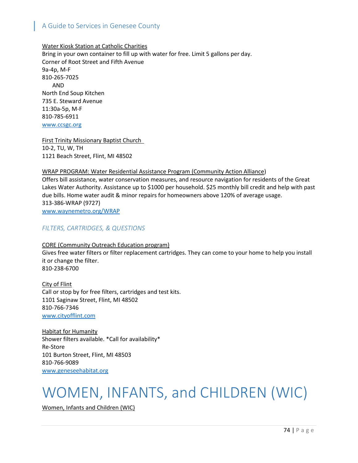Water Kiosk Station at Catholic Charities Bring in your own container to fill up with water for free. Limit 5 gallons per day. Corner of Root Street and Fifth Avenue 9a-4p, M-F 810-265-7025 AND North End Soup Kitchen 735 E. Steward Avenue 11:30a-5p, M-F 810-785-6911 [www.ccsgc.org](http://www.ccsgc.org/)

First Trinity Missionary Baptist Church 10-2, TU, W, TH 1121 Beach Street, Flint, MI 48502

#### WRAP PROGRAM: Water Residential Assistance Program (Community Action Alliance)

Offers bill assistance, water conservation measures, and resource navigation for residents of the Great Lakes Water Authority. Assistance up to \$1000 per household. \$25 monthly bill credit and help with past due bills. Home water audit & minor repairs for homeowners above 120% of average usage. 313-386-WRAP (9727) [www.waynemetro.org/WRAP](http://www.waynemetro.org/WRAP)

#### *FILTERS, CARTRIDGES, & QUESTIONS*

#### CORE (Community Outreach Education program) Gives free water filters or filter replacement cartridges. They can come to your home to help you install it or change the filter. 810-238-6700

City of Flint Call or stop by for free filters, cartridges and test kits. 1101 Saginaw Street, Flint, MI 48502 810-766-7346 www.cityofflint.com

Habitat for Humanity Shower filters available. \*Call for availability\* Re-Store 101 Burton Street, Flint, MI 48503 810-766-9089 [www.geneseehabitat.org](http://www.geneseehabitat.org/)

# WOMEN, INFANTS, and CHILDREN (WIC)

Women, Infants and Children (WIC)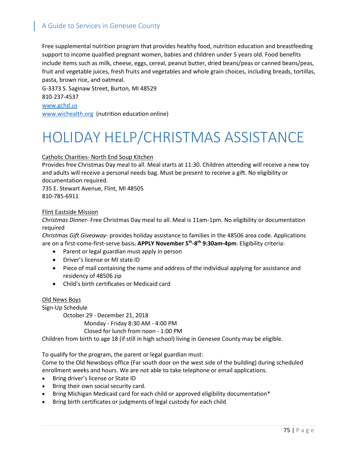Free supplemental nutrition program that provides healthy food, nutrition education and breastfeeding support to income qualified pregnant women, babies and children under 5 years old. Food benefits include items such as milk, cheese, eggs, cereal, peanut butter, dried beans/peas or canned beans/peas, fruit and vegetable juices, fresh fruits and vegetables and whole grain choices, including breads, tortillas, pasta, brown rice, and oatmeal.

G-3373 S. Saginaw Street, Burton, MI 48529 810-237-4537 [www.gchd.us](http://www.gchd.us/) [www.wichealth.org](http://www.wichealth.org/) (nutrition education online)

# HOLIDAY HELP/CHRISTMAS ASSISTANCE

#### Catholic Charities- North End Soup Kitchen

Provides free Christmas Day meal to all. Meal starts at 11:30. Children attending will receive a new toy and adults will receive a personal needs bag. Must be present to receive a gift. No eligibility or documentation required.

735 E. Stewart Avenue, Flint, MI 48505 810-785-6911

#### Flint Eastside Mission

*Christmas Dinner*- Free Christmas Day meal to all. Meal is 11am-1pm. No eligibility or documentation required

*Christmas Gift Giveaway*- provides holiday assistance to families in the 48506 area code. Applications are on a first-come-first-serve basis**. APPLY November 5th-8th 9:30am-4pm**. Eligibility criteria:

- Parent or legal guardian must apply in person
- Driver's license or MI state ID
- Piece of mail containing the name and address of the individual applying for assistance and residency of 48506 zip
- Child's birth certificates or Medicaid card

#### Old News Boys

Sign-Up Schedule

October 29 - December 21, 2018 Monday - Friday 8:30 AM - 4:00 PM Closed for lunch from noon - 1:00 PM

Children from birth to age 18 (if still in high school) living in Genesee County may be eligible.

To qualify for the program, the parent or legal guardian must:

Come to the Old Newsboys office (Far south door on the west side of the building) during scheduled enrollment weeks and hours. We are not able to take telephone or email applications.

- Bring driver's license or State ID
- Bring their own social security card.
- Bring Michigan Medicaid card for each child or approved eligibility documentation\*
- Bring birth certificates or judgments of legal custody for each child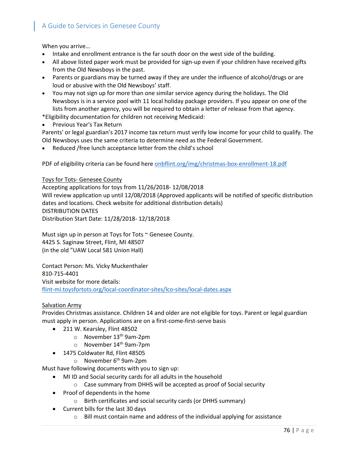When you arrive...

- Intake and enrollment entrance is the far south door on the west side of the building.
- All above listed paper work must be provided for sign-up even if your children have received gifts from the Old Newsboys in the past.
- Parents or guardians may be turned away if they are under the influence of alcohol/drugs or are loud or abusive with the Old Newsboys' staff.
- You may not sign up for more than one similar service agency during the holidays. The Old Newsboys is in a service pool with 11 local holiday package providers. If you appear on one of the lists from another agency, you will be required to obtain a letter of release from that agency.

\*Eligibility documentation for children not receiving Medicaid:

• Previous Year's Tax Return

Parents' or legal guardian's 2017 income tax return must verify low income for your child to qualify. The Old Newsboys uses the same criteria to determine need as the Federal Government.

Reduced /free lunch acceptance letter from the child's school

PDF of eligibility criteria can be found her[e onbflint.org/img/christmas-box-enrollment-18.pdf](https://onbflint.org/img/christmas-box-enrollment-18.pdf)

#### Toys for Tots- Genesee County

Accepting applications for toys from 11/26/2018- 12/08/2018 Will review application up until 12/08/2018 (Approved applicants will be notified of specific distribution dates and locations. Check website for additional distribution details) DISTRIBUTION DATES Distribution Start Date: 11/28/2018- 12/18/2018

Must sign up in person at Toys for Tots ~ Genesee County. 4425 S. Saginaw Street, Flint, MI 48507 (in the old "UAW Local 581 Union Hall)

Contact Person: [Ms. Vicky Muckenthaler](mailto:toys4totsflint@aol.com?subject=Local%20Toys%20For%20Tots%20Campaign%20FLINT-MI) 810-715-4401 Visit website for more details: [flint-mi.toysfortots.org/local-coordinator-sites/lco-sites/local-dates.aspx](https://flint-mi.toysfortots.org/local-coordinator-sites/lco-sites/local-dates.aspx)

#### Salvation Army

Provides Christmas assistance. Children 14 and older are not eligible for toys. Parent or legal guardian must apply in person. Applications are on a first-come-first-serve basis

- 211 W. Kearsley, Flint 48502
	- o November 13th 9am-2pm
	- o November 14th 9am-7pm
- 1475 Coldwater Rd, Flint 48505
	- $\circ$  November 6<sup>th</sup> 9am-2pm

Must have following documents with you to sign up:

- MI ID and Social security cards for all adults in the household
	- o Case summary from DHHS will be accepted as proof of Social security
- Proof of dependents in the home
	- o Birth certificates and social security cards (or DHHS summary)
- Current bills for the last 30 days
	- $\circ$  Bill must contain name and address of the individual applying for assistance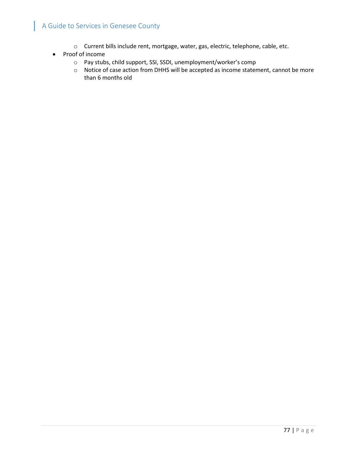- o Current bills include rent, mortgage, water, gas, electric, telephone, cable, etc.
- Proof of income
	- o Pay stubs, child support, SSI, SSDI, unemployment/worker's comp
	- o Notice of case action from DHHS will be accepted as income statement, cannot be more than 6 months old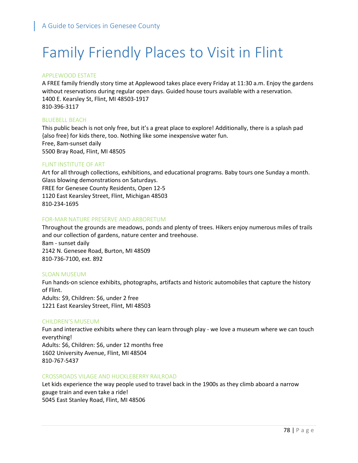# Family Friendly Places to Visit in Flint

#### APPLEWOOD ESTATE

A FREE family friendly story time at Applewood takes place every Friday at 11:30 a.m. Enjoy the gardens without reservations during regular open days. Guided house tours available with a reservation. 1400 E. Kearsley St, Flint, MI 48503-1917 810-396-3117

#### BLUEBELL BEACH

This public beach is not only free, but it's a great place to explore! Additionally, there is a splash pad {also free} for kids there, too. Nothing like some inexpensive water fun. Free, 8am-sunset daily 5500 Bray Road, Flint, MI 48505

#### FLINT INSTITUTE OF ART

Art for all through collections, exhibitions, and educational programs. Baby tours one Sunday a month. Glass blowing demonstrations on Saturdays. FREE for Genesee County Residents, Open 12-5 1120 East Kearsley Street, Flint, Michigan 48503 810-234-1695

#### FOR-MAR NATURE PRESERVE AND ARBORETUM

Throughout the grounds are meadows, ponds and plenty of trees. Hikers enjoy numerous miles of trails and our collection of gardens, nature center and treehouse. 8am - sunset daily 2142 N. Genesee Road, Burton, MI 48509 810-736-7100, ext. 892

#### SLOAN MUSEUM

Fun hands-on science exhibits, photographs, artifacts and historic automobiles that capture the history of Flint. Adults: \$9, Children: \$6, under 2 free 1221 East Kearsley Street, Flint, MI 48503

#### CHILDREN'S MUSEUM

Fun and interactive exhibits where they can learn through play - we love a museum where we can touch everything! Adults: \$6, Children: \$6, under 12 months free 1602 University Avenue, Flint, MI 48504 810-767-5437

#### CROSSROADS VILAGE AND HUCKLEBERRY RAILROAD

Let kids experience the way people used to travel back in the 1900s as they climb aboard a narrow gauge train and even take a ride! 5045 East Stanley Road, Flint, MI 48506